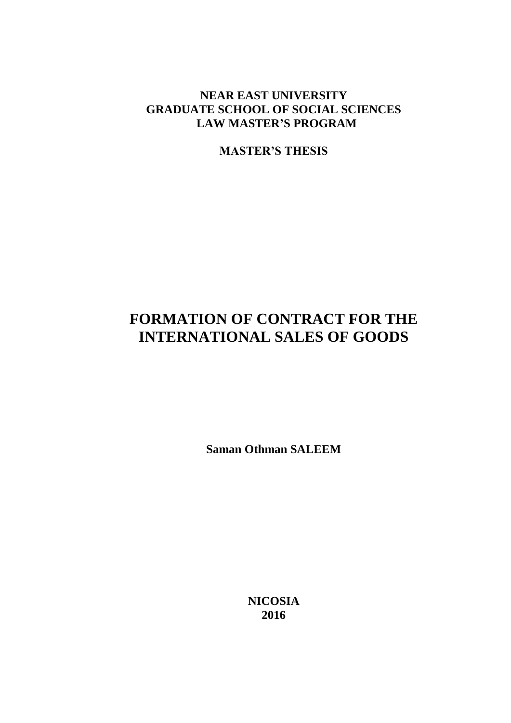# **NEAR EAST UNIVERSITY GRADUATE SCHOOL OF SOCIAL SCIENCES LAW MASTER'S PROGRAM**

**MASTER'S THESIS**

# **FORMATION OF CONTRACT FOR THE INTERNATIONAL SALES OF GOODS**

**Saman Othman SALEEM**

**NICOSIA 2016**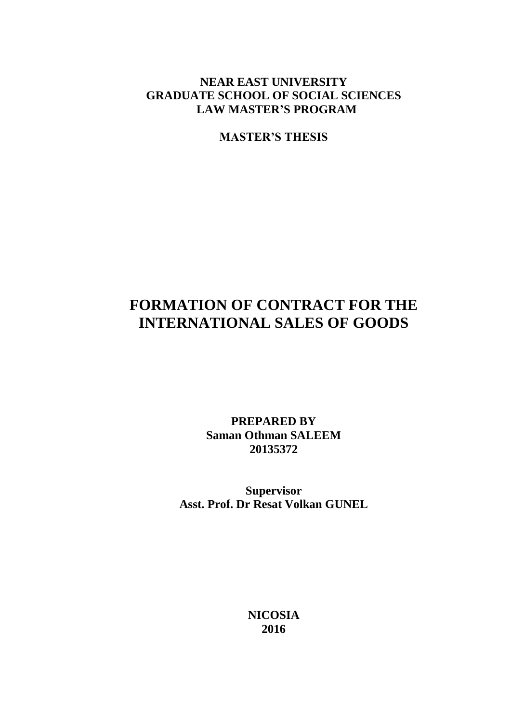# **NEAR EAST UNIVERSITY GRADUATE SCHOOL OF SOCIAL SCIENCES LAW MASTER'S PROGRAM**

**MASTER'S THESIS**

# **FORMATION OF CONTRACT FOR THE INTERNATIONAL SALES OF GOODS**

**PREPARED BY Saman Othman SALEEM 20135372**

**Supervisor Asst. Prof. Dr Resat Volkan GUNEL**

> **NICOSIA 2016**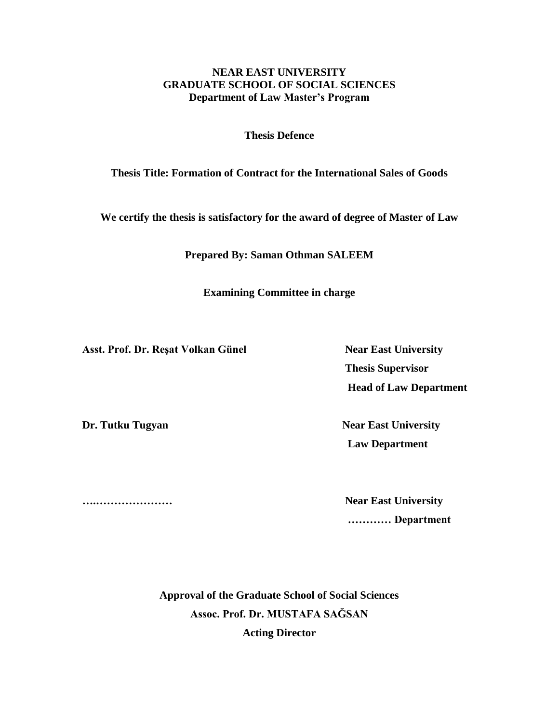# **NEAR EAST UNIVERSITY GRADUATE SCHOOL OF SOCIAL SCIENCES Department of Law Master's Program**

**Thesis Defence**

# **Thesis Title: Formation of Contract for the International Sales of Goods**

**We certify the thesis is satisfactory for the award of degree of Master of Law**

**Prepared By: Saman Othman SALEEM**

**Examining Committee in charge** 

Asst. Prof. Dr. Reşat Volkan Günel Near East University

 **Thesis Supervisor Head of Law Department**

**Dr. Tutku Tugyan Near East University Law Department** 

**….………………… Near East University ………… Department**

> **Approval of the Graduate School of Social Sciences Assoc. Prof. Dr. MUSTAFA SAĞSAN Acting Director**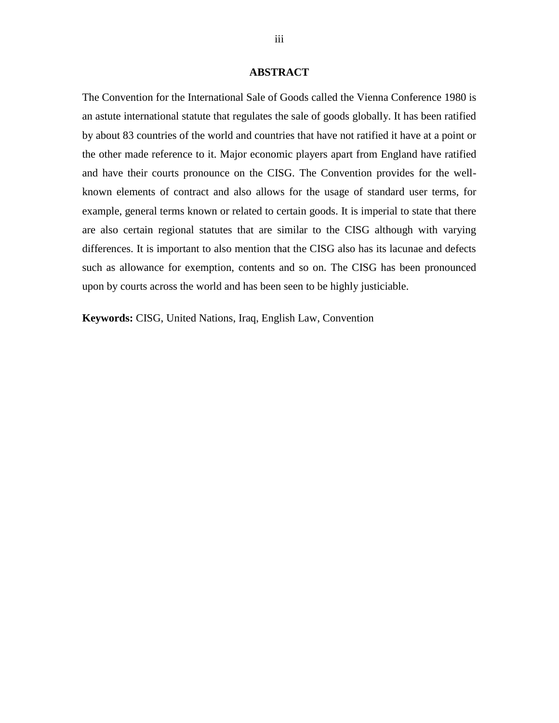#### **ABSTRACT**

The Convention for the International Sale of Goods called the Vienna Conference 1980 is an astute international statute that regulates the sale of goods globally. It has been ratified by about 83 countries of the world and countries that have not ratified it have at a point or the other made reference to it. Major economic players apart from England have ratified and have their courts pronounce on the CISG. The Convention provides for the wellknown elements of contract and also allows for the usage of standard user terms, for example, general terms known or related to certain goods. It is imperial to state that there are also certain regional statutes that are similar to the CISG although with varying differences. It is important to also mention that the CISG also has its lacunae and defects such as allowance for exemption, contents and so on. The CISG has been pronounced upon by courts across the world and has been seen to be highly justiciable.

**Keywords:** CISG, United Nations, Iraq, English Law, Convention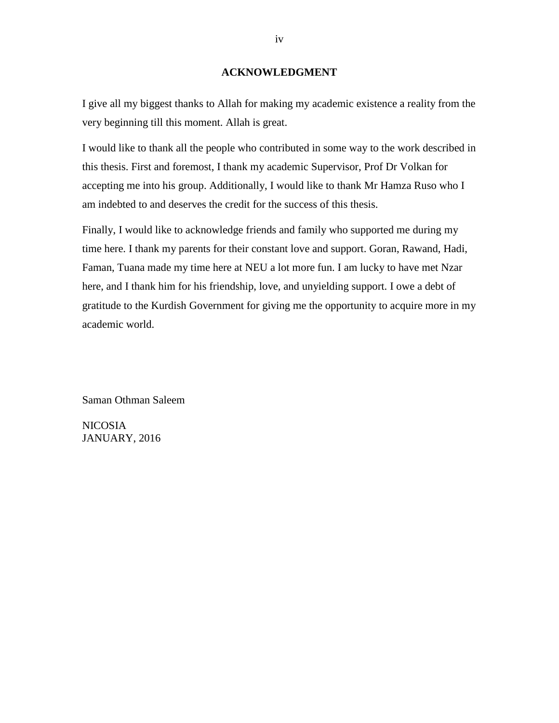#### **ACKNOWLEDGMENT**

I give all my biggest thanks to Allah for making my academic existence a reality from the very beginning till this moment. Allah is great.

I would like to thank all the people who contributed in some way to the work described in this thesis. First and foremost, I thank my academic Supervisor, Prof Dr Volkan for accepting me into his group. Additionally, I would like to thank Mr Hamza Ruso who I am indebted to and deserves the credit for the success of this thesis.

Finally, I would like to acknowledge friends and family who supported me during my time here. I thank my parents for their constant love and support. Goran, Rawand, Hadi, Faman, Tuana made my time here at NEU a lot more fun. I am lucky to have met Nzar here, and I thank him for his friendship, love, and unyielding support. I owe a debt of gratitude to the Kurdish Government for giving me the opportunity to acquire more in my academic world.

Saman Othman Saleem

NICOSIA JANUARY, 2016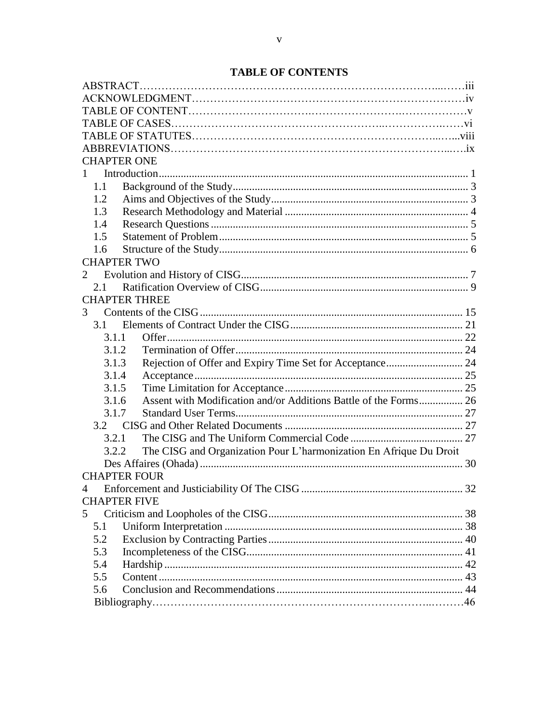# **TABLE OF CONTENTS**

| <b>CHAPTER ONE</b>                                                          |  |
|-----------------------------------------------------------------------------|--|
| $1 \quad$                                                                   |  |
| 1.1                                                                         |  |
| 1.2                                                                         |  |
| 1.3                                                                         |  |
| 1.4                                                                         |  |
| 1.5                                                                         |  |
| 1.6                                                                         |  |
| <b>CHAPTER TWO</b>                                                          |  |
| $\mathfrak{2}$                                                              |  |
| 2.1                                                                         |  |
| <b>CHAPTER THREE</b>                                                        |  |
| 3                                                                           |  |
| 3.1                                                                         |  |
| 3.1.1                                                                       |  |
| 3.1.2                                                                       |  |
| Rejection of Offer and Expiry Time Set for Acceptance 24<br>3.1.3           |  |
| 3.1.4                                                                       |  |
| 3.1.5                                                                       |  |
| 3.1.6                                                                       |  |
| 3.1.7                                                                       |  |
|                                                                             |  |
| 3.2.1                                                                       |  |
| The CISG and Organization Pour L'harmonization En Afrique Du Droit<br>3.2.2 |  |
|                                                                             |  |
| <b>CHAPTER FOUR</b>                                                         |  |
| 4                                                                           |  |
| <b>CHAPTER FIVE</b>                                                         |  |
| 5                                                                           |  |
| 5.1                                                                         |  |
| 5.2                                                                         |  |
| 5.3                                                                         |  |
| 5.4                                                                         |  |
| 5.5                                                                         |  |
| 5.6                                                                         |  |
|                                                                             |  |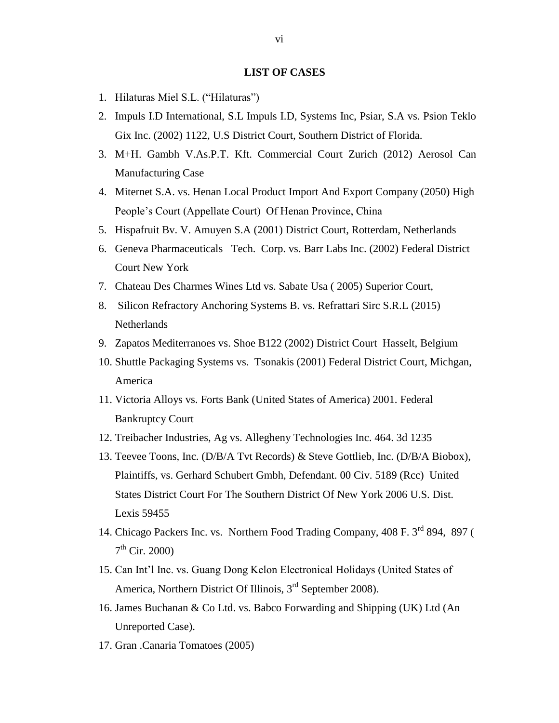#### **LIST OF CASES**

- 1. Hilaturas Miel S.L. ("Hilaturas")
- 2. Impuls I.D International, S.L Impuls I.D, Systems Inc, Psiar, S.A vs. Psion Teklo Gix Inc. (2002) 1122, U.S District Court, Southern District of Florida.
- 3. M+H. Gambh V.As.P.T. Kft. Commercial Court Zurich (2012) Aerosol Can Manufacturing Case
- 4. Miternet S.A. vs. Henan Local Product Import And Export Company (2050) High People's Court (Appellate Court) Of Henan Province, China
- 5. Hispafruit Bv. V. Amuyen S.A (2001) District Court, Rotterdam, Netherlands
- 6. Geneva Pharmaceuticals Tech. Corp. vs. Barr Labs Inc. (2002) Federal District Court New York
- 7. Chateau Des Charmes Wines Ltd vs. Sabate Usa ( 2005) Superior Court,
- 8. Silicon Refractory Anchoring Systems B. vs. Refrattari Sirc S.R.L (2015) **Netherlands**
- 9. Zapatos Mediterranoes vs. Shoe B122 (2002) District Court Hasselt, Belgium
- 10. Shuttle Packaging Systems vs. Tsonakis (2001) Federal District Court, Michgan, America
- 11. Victoria Alloys vs. Forts Bank (United States of America) 2001. Federal Bankruptcy Court
- 12. Treibacher Industries, Ag vs. Allegheny Technologies Inc. 464. 3d 1235
- 13. Teevee Toons, Inc. (D/B/A Tvt Records) & Steve Gottlieb, Inc. (D/B/A Biobox), Plaintiffs, vs. Gerhard Schubert Gmbh, Defendant. 00 Civ. 5189 (Rcc) United States District Court For The Southern District Of New York 2006 U.S. Dist. Lexis 59455
- 14. Chicago Packers Inc. vs. Northern Food Trading Company, 408 F. 3<sup>rd</sup> 894, 897 ( 7<sup>th</sup> Cir. 2000)
- 15. Can Int'l Inc. vs. Guang Dong Kelon Electronical Holidays (United States of America, Northern District Of Illinois, 3<sup>rd</sup> September 2008).
- 16. James Buchanan & Co Ltd. vs. Babco Forwarding and Shipping (UK) Ltd (An Unreported Case).
- 17. Gran .Canaria Tomatoes (2005)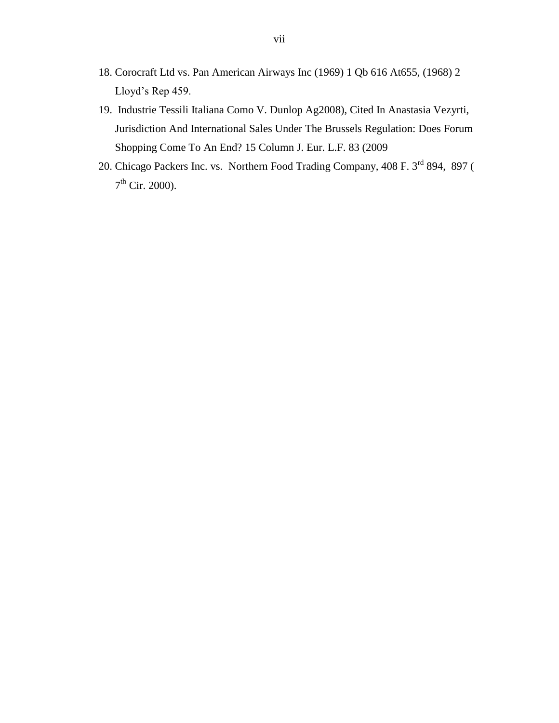- 18. Corocraft Ltd vs. Pan American Airways Inc (1969) 1 Qb 616 At655, (1968) 2 Lloyd's Rep 459.
- 19. Industrie Tessili Italiana Como V. Dunlop Ag2008), Cited In Anastasia Vezyrti, Jurisdiction And International Sales Under The Brussels Regulation: Does Forum Shopping Come To An End? 15 Column J. Eur. L.F. 83 (2009
- 20. Chicago Packers Inc. vs. Northern Food Trading Company, 408 F. 3<sup>rd</sup> 894, 897 ( 7<sup>th</sup> Cir. 2000).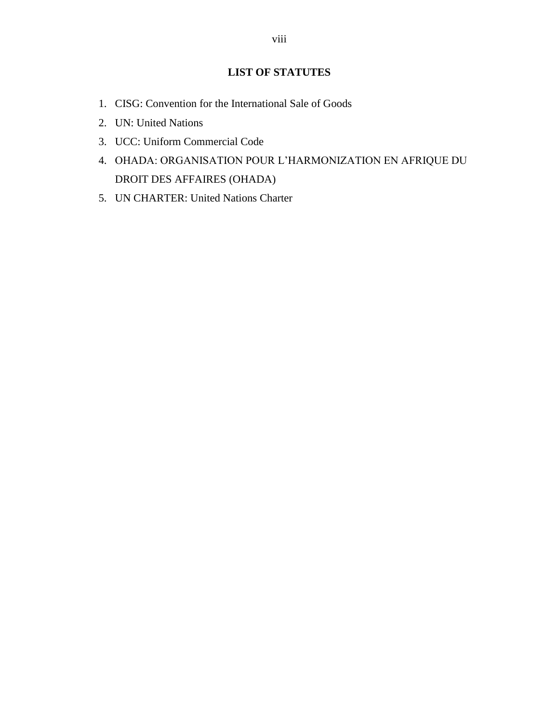# **LIST OF STATUTES**

- 1. CISG: Convention for the International Sale of Goods
- 2. UN: United Nations
- 3. UCC: Uniform Commercial Code
- 4. OHADA: ORGANISATION POUR L'HARMONIZATION EN AFRIQUE DU DROIT DES AFFAIRES (OHADA)
- 5. UN CHARTER: United Nations Charter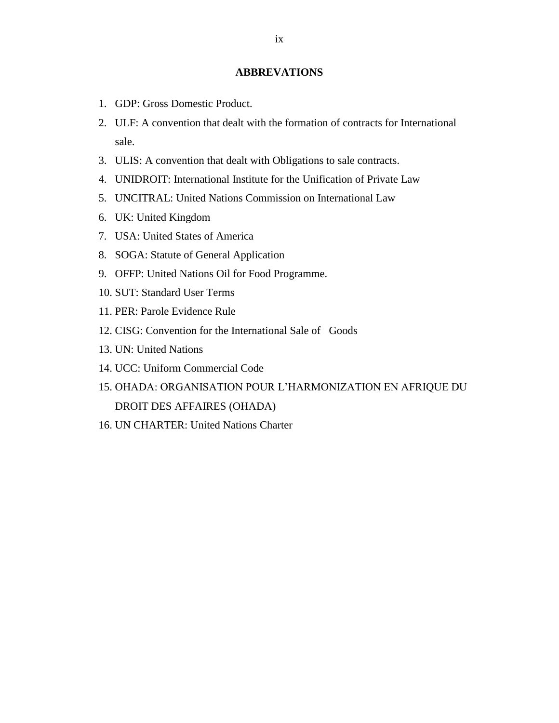# **ABBREVATIONS**

- 1. GDP: Gross Domestic Product.
- 2. ULF: A convention that dealt with the formation of contracts for International sale.
- 3. ULIS: A convention that dealt with Obligations to sale contracts.
- 4. UNIDROIT: International Institute for the Unification of Private Law
- 5. UNCITRAL: United Nations Commission on International Law
- 6. UK: United Kingdom
- 7. USA: United States of America
- 8. SOGA: Statute of General Application
- 9. OFFP: United Nations Oil for Food Programme.
- 10. SUT: Standard User Terms
- 11. PER: Parole Evidence Rule
- 12. CISG: Convention for the International Sale of Goods
- 13. UN: United Nations
- 14. UCC: Uniform Commercial Code
- 15. OHADA: ORGANISATION POUR L'HARMONIZATION EN AFRIQUE DU DROIT DES AFFAIRES (OHADA)
- 16. UN CHARTER: United Nations Charter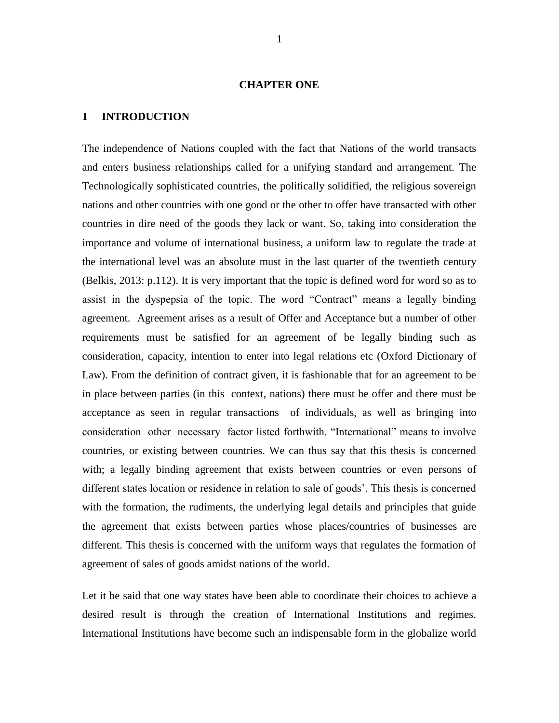#### **CHAPTER ONE**

# <span id="page-10-0"></span>**1 INTRODUCTION**

The independence of Nations coupled with the fact that Nations of the world transacts and enters business relationships called for a unifying standard and arrangement. The Technologically sophisticated countries, the politically solidified, the religious sovereign nations and other countries with one good or the other to offer have transacted with other countries in dire need of the goods they lack or want. So, taking into consideration the importance and volume of international business, a uniform law to regulate the trade at the international level was an absolute must in the last quarter of the twentieth century (Belkis, 2013: p.112). It is very important that the topic is defined word for word so as to assist in the dyspepsia of the topic. The word "Contract" means a legally binding agreement. Agreement arises as a result of Offer and Acceptance but a number of other requirements must be satisfied for an agreement of be legally binding such as consideration, capacity, intention to enter into legal relations etc (Oxford Dictionary of Law). From the definition of contract given, it is fashionable that for an agreement to be in place between parties (in this context, nations) there must be offer and there must be acceptance as seen in regular transactions of individuals, as well as bringing into consideration other necessary factor listed forthwith. "International" means to involve countries, or existing between countries. We can thus say that this thesis is concerned with; a legally binding agreement that exists between countries or even persons of different states location or residence in relation to sale of goods'. This thesis is concerned with the formation, the rudiments, the underlying legal details and principles that guide the agreement that exists between parties whose places/countries of businesses are different. This thesis is concerned with the uniform ways that regulates the formation of agreement of sales of goods amidst nations of the world.

Let it be said that one way states have been able to coordinate their choices to achieve a desired result is through the creation of International Institutions and regimes. International Institutions have become such an indispensable form in the globalize world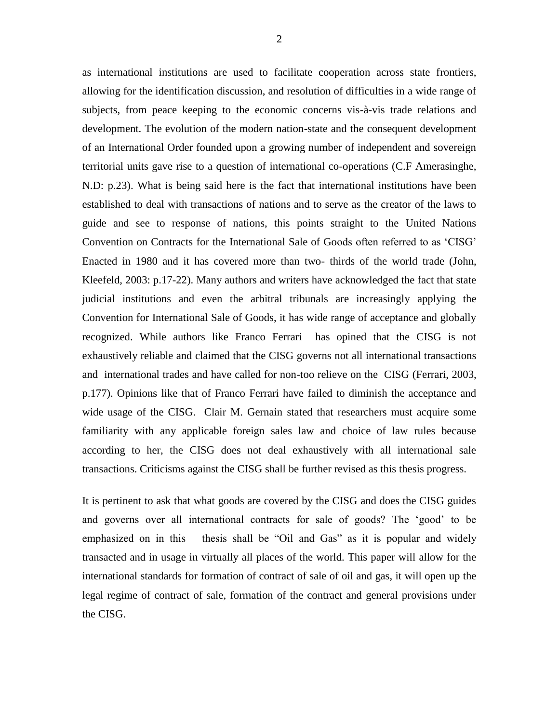as international institutions are used to facilitate cooperation across state frontiers, allowing for the identification discussion, and resolution of difficulties in a wide range of subjects, from peace keeping to the economic concerns vis-à-vis trade relations and development. The evolution of the modern nation-state and the consequent development of an International Order founded upon a growing number of independent and sovereign territorial units gave rise to a question of international co-operations (C.F Amerasinghe, N.D: p.23). What is being said here is the fact that international institutions have been established to deal with transactions of nations and to serve as the creator of the laws to guide and see to response of nations, this points straight to the United Nations Convention on Contracts for the International Sale of Goods often referred to as 'CISG' Enacted in 1980 and it has covered more than two- thirds of the world trade (John, Kleefeld, 2003: p.17-22). Many authors and writers have acknowledged the fact that state judicial institutions and even the arbitral tribunals are increasingly applying the Convention for International Sale of Goods, it has wide range of acceptance and globally recognized. While authors like Franco Ferrari has opined that the CISG is not exhaustively reliable and claimed that the CISG governs not all international transactions and international trades and have called for non-too relieve on the CISG (Ferrari, 2003, p.177). Opinions like that of Franco Ferrari have failed to diminish the acceptance and wide usage of the CISG. Clair M. Gernain stated that researchers must acquire some familiarity with any applicable foreign sales law and choice of law rules because according to her, the CISG does not deal exhaustively with all international sale transactions. Criticisms against the CISG shall be further revised as this thesis progress.

It is pertinent to ask that what goods are covered by the CISG and does the CISG guides and governs over all international contracts for sale of goods? The 'good' to be emphasized on in this thesis shall be "Oil and Gas" as it is popular and widely transacted and in usage in virtually all places of the world. This paper will allow for the international standards for formation of contract of sale of oil and gas, it will open up the legal regime of contract of sale, formation of the contract and general provisions under the CISG.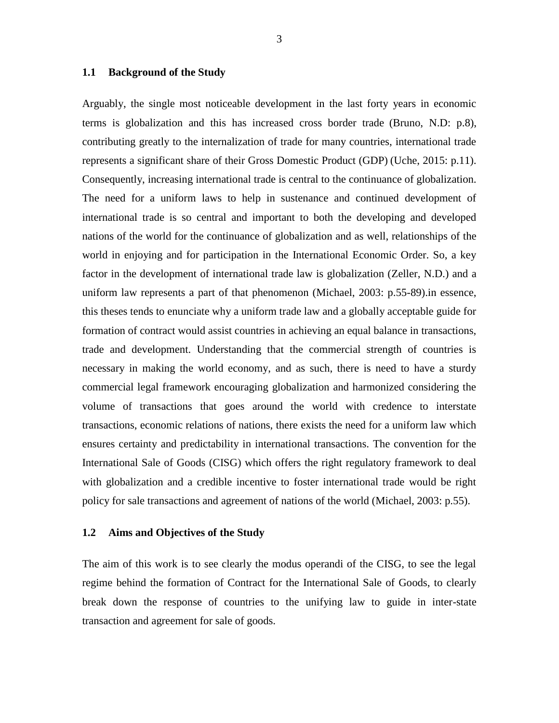#### <span id="page-12-0"></span>**1.1 Background of the Study**

Arguably, the single most noticeable development in the last forty years in economic terms is globalization and this has increased cross border trade (Bruno, N.D: p.8), contributing greatly to the internalization of trade for many countries, international trade represents a significant share of their Gross Domestic Product (GDP) (Uche, 2015: p.11). Consequently, increasing international trade is central to the continuance of globalization. The need for a uniform laws to help in sustenance and continued development of international trade is so central and important to both the developing and developed nations of the world for the continuance of globalization and as well, relationships of the world in enjoying and for participation in the International Economic Order. So, a key factor in the development of international trade law is globalization (Zeller, N.D.) and a uniform law represents a part of that phenomenon (Michael, 2003: p.55-89).in essence, this theses tends to enunciate why a uniform trade law and a globally acceptable guide for formation of contract would assist countries in achieving an equal balance in transactions, trade and development. Understanding that the commercial strength of countries is necessary in making the world economy, and as such, there is need to have a sturdy commercial legal framework encouraging globalization and harmonized considering the volume of transactions that goes around the world with credence to interstate transactions, economic relations of nations, there exists the need for a uniform law which ensures certainty and predictability in international transactions. The convention for the International Sale of Goods (CISG) which offers the right regulatory framework to deal with globalization and a credible incentive to foster international trade would be right policy for sale transactions and agreement of nations of the world (Michael, 2003: p.55).

#### <span id="page-12-1"></span>**1.2 Aims and Objectives of the Study**

The aim of this work is to see clearly the modus operandi of the CISG, to see the legal regime behind the formation of Contract for the International Sale of Goods, to clearly break down the response of countries to the unifying law to guide in inter-state transaction and agreement for sale of goods.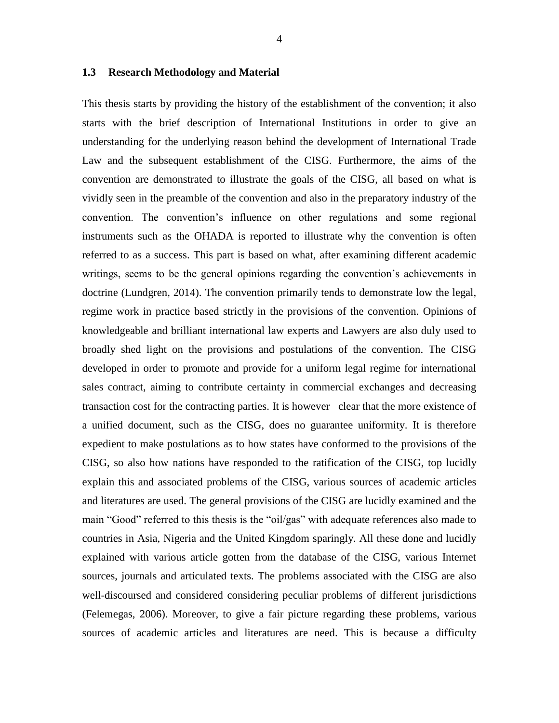#### <span id="page-13-0"></span>**1.3 Research Methodology and Material**

This thesis starts by providing the history of the establishment of the convention; it also starts with the brief description of International Institutions in order to give an understanding for the underlying reason behind the development of International Trade Law and the subsequent establishment of the CISG. Furthermore, the aims of the convention are demonstrated to illustrate the goals of the CISG, all based on what is vividly seen in the preamble of the convention and also in the preparatory industry of the convention. The convention's influence on other regulations and some regional instruments such as the OHADA is reported to illustrate why the convention is often referred to as a success. This part is based on what, after examining different academic writings, seems to be the general opinions regarding the convention's achievements in doctrine (Lundgren, 2014). The convention primarily tends to demonstrate low the legal, regime work in practice based strictly in the provisions of the convention. Opinions of knowledgeable and brilliant international law experts and Lawyers are also duly used to broadly shed light on the provisions and postulations of the convention. The CISG developed in order to promote and provide for a uniform legal regime for international sales contract, aiming to contribute certainty in commercial exchanges and decreasing transaction cost for the contracting parties. It is however clear that the more existence of a unified document, such as the CISG, does no guarantee uniformity. It is therefore expedient to make postulations as to how states have conformed to the provisions of the CISG, so also how nations have responded to the ratification of the CISG, top lucidly explain this and associated problems of the CISG, various sources of academic articles and literatures are used. The general provisions of the CISG are lucidly examined and the main "Good" referred to this thesis is the "oil/gas" with adequate references also made to countries in Asia, Nigeria and the United Kingdom sparingly. All these done and lucidly explained with various article gotten from the database of the CISG, various Internet sources, journals and articulated texts. The problems associated with the CISG are also well-discoursed and considered considering peculiar problems of different jurisdictions (Felemegas, 2006). Moreover, to give a fair picture regarding these problems, various sources of academic articles and literatures are need. This is because a difficulty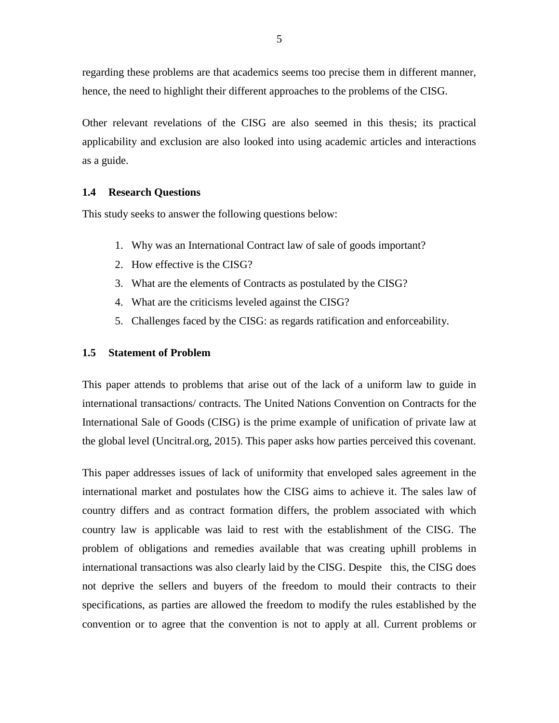regarding these problems are that academics seems too precise them in different manner, hence, the need to highlight their different approaches to the problems of the CISG.

Other relevant revelations of the CISG are also seemed in this thesis; its practical applicability and exclusion are also looked into using academic articles and interactions as a guide.

#### <span id="page-14-0"></span>**1.4 Research Questions**

This study seeks to answer the following questions below:

- 1. Why was an International Contract law of sale of goods important?
- 2. How effective is the CISG?
- 3. What are the elements of Contracts as postulated by the CISG?
- 4. What are the criticisms leveled against the CISG?
- 5. Challenges faced by the CISG: as regards ratification and enforceability.

## <span id="page-14-1"></span>**1.5 Statement of Problem**

This paper attends to problems that arise out of the lack of a uniform law to guide in international transactions/ contracts. The United Nations Convention on Contracts for the International Sale of Goods (CISG) is the prime example of unification of private law at the global level (Uncitral.org, 2015). This paper asks how parties perceived this covenant.

This paper addresses issues of lack of uniformity that enveloped sales agreement in the international market and postulates how the CISG aims to achieve it. The sales law of country differs and as contract formation differs, the problem associated with which country law is applicable was laid to rest with the establishment of the CISG. The problem of obligations and remedies available that was creating uphill problems in international transactions was also clearly laid by the CISG. Despite this, the CISG does not deprive the sellers and buyers of the freedom to mould their contracts to their specifications, as parties are allowed the freedom to modify the rules established by the convention or to agree that the convention is not to apply at all. Current problems or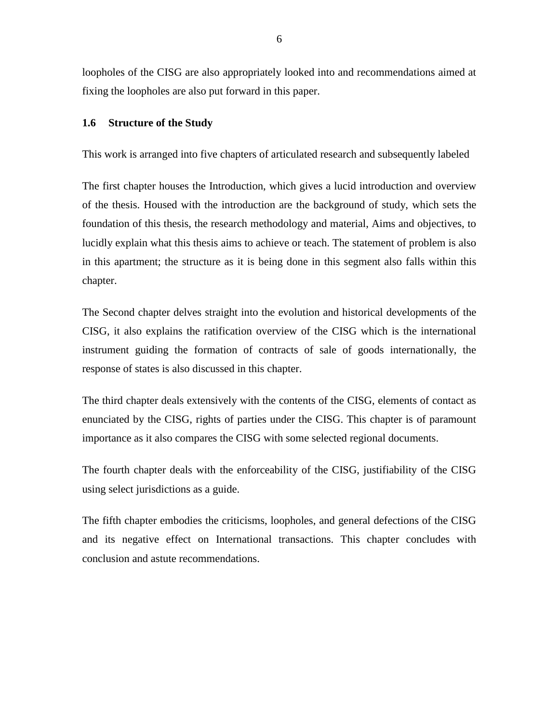loopholes of the CISG are also appropriately looked into and recommendations aimed at fixing the loopholes are also put forward in this paper.

#### <span id="page-15-0"></span>**1.6 Structure of the Study**

This work is arranged into five chapters of articulated research and subsequently labeled

The first chapter houses the Introduction, which gives a lucid introduction and overview of the thesis. Housed with the introduction are the background of study, which sets the foundation of this thesis, the research methodology and material, Aims and objectives, to lucidly explain what this thesis aims to achieve or teach. The statement of problem is also in this apartment; the structure as it is being done in this segment also falls within this chapter.

The Second chapter delves straight into the evolution and historical developments of the CISG, it also explains the ratification overview of the CISG which is the international instrument guiding the formation of contracts of sale of goods internationally, the response of states is also discussed in this chapter.

The third chapter deals extensively with the contents of the CISG, elements of contact as enunciated by the CISG, rights of parties under the CISG. This chapter is of paramount importance as it also compares the CISG with some selected regional documents.

The fourth chapter deals with the enforceability of the CISG, justifiability of the CISG using select jurisdictions as a guide.

The fifth chapter embodies the criticisms, loopholes, and general defections of the CISG and its negative effect on International transactions. This chapter concludes with conclusion and astute recommendations.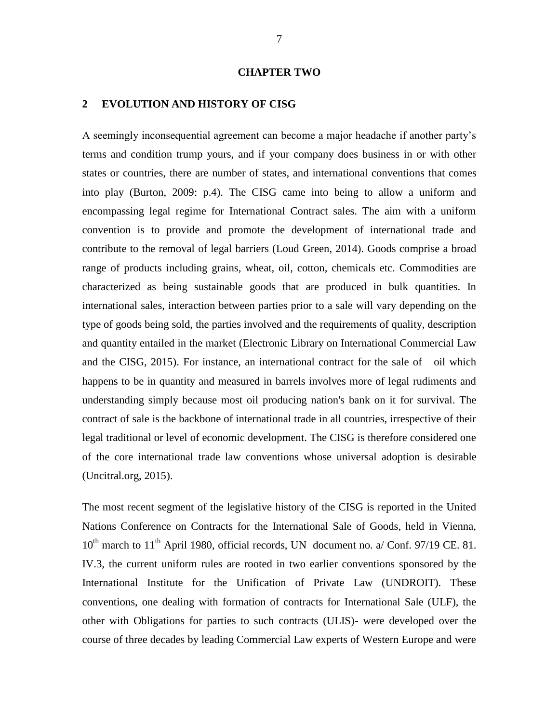#### **CHAPTER TWO**

#### <span id="page-16-0"></span>**2 EVOLUTION AND HISTORY OF CISG**

A seemingly inconsequential agreement can become a major headache if another party's terms and condition trump yours, and if your company does business in or with other states or countries, there are number of states, and international conventions that comes into play (Burton, 2009: p.4). The CISG came into being to allow a uniform and encompassing legal regime for International Contract sales. The aim with a uniform convention is to provide and promote the development of international trade and contribute to the removal of legal barriers (Loud Green, 2014). Goods comprise a broad range of products including grains, wheat, oil, cotton, chemicals etc. Commodities are characterized as being sustainable goods that are produced in bulk quantities. In international sales, interaction between parties prior to a sale will vary depending on the type of goods being sold, the parties involved and the requirements of quality, description and quantity entailed in the market (Electronic Library on International Commercial Law and the CISG, 2015). For instance, an international contract for the sale of oil which happens to be in quantity and measured in barrels involves more of legal rudiments and understanding simply because most oil producing nation's bank on it for survival. The contract of sale is the backbone of international trade in all countries, irrespective of their legal traditional or level of economic development. The CISG is therefore considered one of the core international trade law conventions whose universal adoption is desirable (Uncitral.org, 2015).

The most recent segment of the legislative history of the CISG is reported in the United Nations Conference on Contracts for the International Sale of Goods, held in Vienna,  $10^{th}$  march to  $11^{th}$  April 1980, official records, UN document no. a/ Conf. 97/19 CE. 81. IV.3, the current uniform rules are rooted in two earlier conventions sponsored by the International Institute for the Unification of Private Law (UNDROIT). These conventions, one dealing with formation of contracts for International Sale (ULF), the other with Obligations for parties to such contracts (ULIS)- were developed over the course of three decades by leading Commercial Law experts of Western Europe and were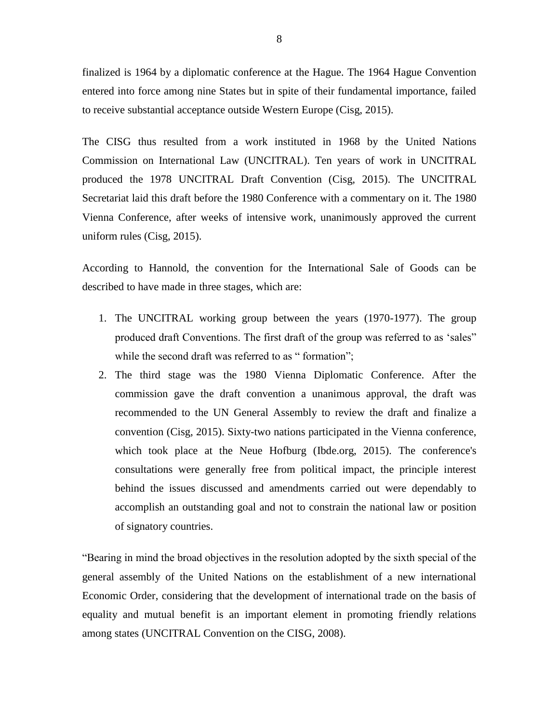finalized is 1964 by a diplomatic conference at the Hague. The 1964 Hague Convention entered into force among nine States but in spite of their fundamental importance, failed to receive substantial acceptance outside Western Europe (Cisg, 2015).

The CISG thus resulted from a work instituted in 1968 by the United Nations Commission on International Law (UNCITRAL). Ten years of work in UNCITRAL produced the 1978 UNCITRAL Draft Convention (Cisg, 2015). The UNCITRAL Secretariat laid this draft before the 1980 Conference with a commentary on it. The 1980 Vienna Conference, after weeks of intensive work, unanimously approved the current uniform rules (Cisg, 2015).

According to Hannold, the convention for the International Sale of Goods can be described to have made in three stages, which are:

- 1. The UNCITRAL working group between the years (1970-1977). The group produced draft Conventions. The first draft of the group was referred to as 'sales" while the second draft was referred to as "formation";
- 2. The third stage was the 1980 Vienna Diplomatic Conference. After the commission gave the draft convention a unanimous approval, the draft was recommended to the UN General Assembly to review the draft and finalize a convention (Cisg, 2015). Sixty-two nations participated in the Vienna conference, which took place at the Neue Hofburg (Ibde.org, 2015). The conference's consultations were generally free from political impact, the principle interest behind the issues discussed and amendments carried out were dependably to accomplish an outstanding goal and not to constrain the national law or position of signatory countries.

―Bearing in mind the broad objectives in the resolution adopted by the sixth special of the general assembly of the United Nations on the establishment of a new international Economic Order, considering that the development of international trade on the basis of equality and mutual benefit is an important element in promoting friendly relations among states (UNCITRAL Convention on the CISG, 2008).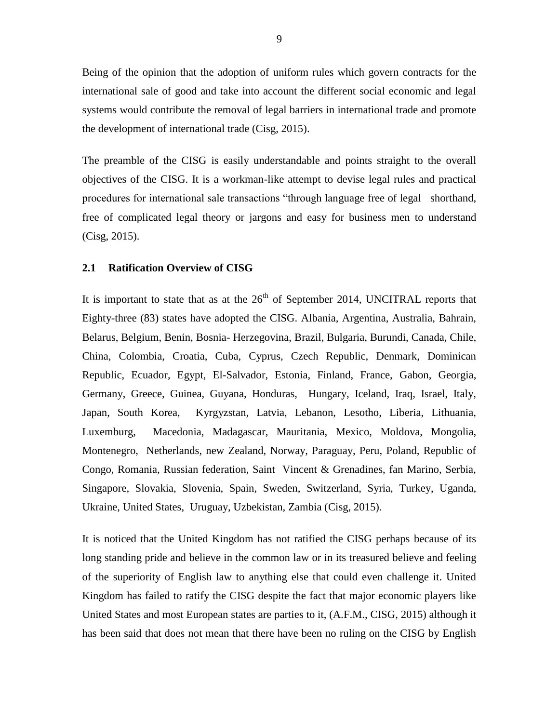Being of the opinion that the adoption of uniform rules which govern contracts for the international sale of good and take into account the different social economic and legal systems would contribute the removal of legal barriers in international trade and promote the development of international trade (Cisg, 2015).

The preamble of the CISG is easily understandable and points straight to the overall objectives of the CISG. It is a workman-like attempt to devise legal rules and practical procedures for international sale transactions "through language free of legal shorthand, free of complicated legal theory or jargons and easy for business men to understand (Cisg, 2015).

#### <span id="page-18-0"></span>**2.1 Ratification Overview of CISG**

It is important to state that as at the  $26<sup>th</sup>$  of September 2014, UNCITRAL reports that Eighty-three (83) states have adopted the CISG. Albania, Argentina, Australia, Bahrain, Belarus, Belgium, Benin, Bosnia- Herzegovina, Brazil, Bulgaria, Burundi, Canada, Chile, China, Colombia, Croatia, Cuba, Cyprus, Czech Republic, Denmark, Dominican Republic, Ecuador, Egypt, El-Salvador, Estonia, Finland, France, Gabon, Georgia, Germany, Greece, Guinea, Guyana, Honduras, Hungary, Iceland, Iraq, Israel, Italy, Japan, South Korea, Kyrgyzstan, Latvia, Lebanon, Lesotho, Liberia, Lithuania, Luxemburg, Macedonia, Madagascar, Mauritania, Mexico, Moldova, Mongolia, Montenegro, Netherlands, new Zealand, Norway, Paraguay, Peru, Poland, Republic of Congo, Romania, Russian federation, Saint Vincent & Grenadines, fan Marino, Serbia, Singapore, Slovakia, Slovenia, Spain, Sweden, Switzerland, Syria, Turkey, Uganda, Ukraine, United States, Uruguay, Uzbekistan, Zambia (Cisg, 2015).

It is noticed that the United Kingdom has not ratified the CISG perhaps because of its long standing pride and believe in the common law or in its treasured believe and feeling of the superiority of English law to anything else that could even challenge it. United Kingdom has failed to ratify the CISG despite the fact that major economic players like United States and most European states are parties to it, (A.F.M., CISG, 2015) although it has been said that does not mean that there have been no ruling on the CISG by English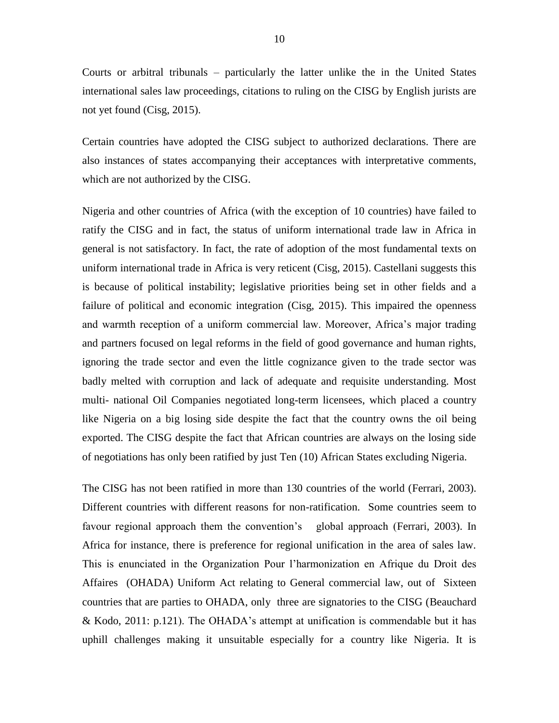Courts or arbitral tribunals – particularly the latter unlike the in the United States international sales law proceedings, citations to ruling on the CISG by English jurists are not yet found (Cisg, 2015).

Certain countries have adopted the CISG subject to authorized declarations. There are also instances of states accompanying their acceptances with interpretative comments, which are not authorized by the CISG.

Nigeria and other countries of Africa (with the exception of 10 countries) have failed to ratify the CISG and in fact, the status of uniform international trade law in Africa in general is not satisfactory. In fact, the rate of adoption of the most fundamental texts on uniform international trade in Africa is very reticent (Cisg, 2015). Castellani suggests this is because of political instability; legislative priorities being set in other fields and a failure of political and economic integration (Cisg, 2015). This impaired the openness and warmth reception of a uniform commercial law. Moreover, Africa's major trading and partners focused on legal reforms in the field of good governance and human rights, ignoring the trade sector and even the little cognizance given to the trade sector was badly melted with corruption and lack of adequate and requisite understanding. Most multi- national Oil Companies negotiated long-term licensees, which placed a country like Nigeria on a big losing side despite the fact that the country owns the oil being exported. The CISG despite the fact that African countries are always on the losing side of negotiations has only been ratified by just Ten (10) African States excluding Nigeria.

The CISG has not been ratified in more than 130 countries of the world (Ferrari, 2003). Different countries with different reasons for non-ratification. Some countries seem to favour regional approach them the convention's global approach (Ferrari, 2003). In Africa for instance, there is preference for regional unification in the area of sales law. This is enunciated in the Organization Pour l'harmonization en Afrique du Droit des Affaires (OHADA) Uniform Act relating to General commercial law, out of Sixteen countries that are parties to OHADA, only three are signatories to the CISG (Beauchard & Kodo, 2011: p.121). The OHADA's attempt at unification is commendable but it has uphill challenges making it unsuitable especially for a country like Nigeria. It is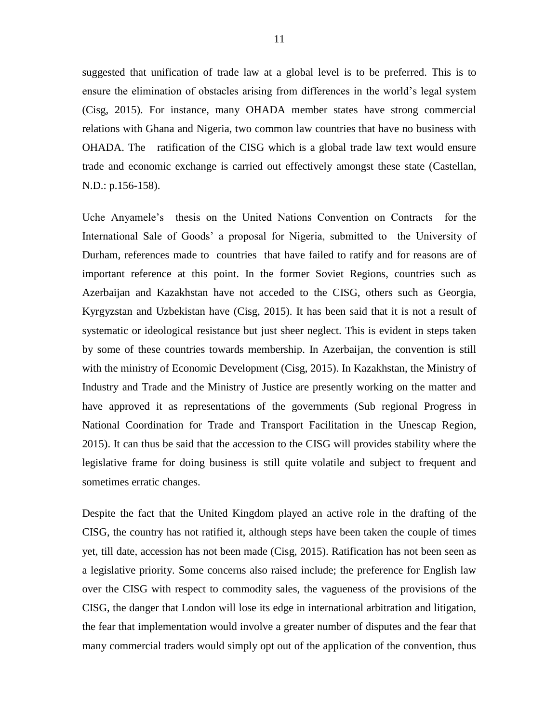suggested that unification of trade law at a global level is to be preferred. This is to ensure the elimination of obstacles arising from differences in the world's legal system (Cisg, 2015). For instance, many OHADA member states have strong commercial relations with Ghana and Nigeria, two common law countries that have no business with OHADA. The ratification of the CISG which is a global trade law text would ensure trade and economic exchange is carried out effectively amongst these state (Castellan, N.D.: p.156-158).

Uche Anyamele's thesis on the United Nations Convention on Contracts for the International Sale of Goods' a proposal for Nigeria, submitted to the University of Durham, references made to countries that have failed to ratify and for reasons are of important reference at this point. In the former Soviet Regions, countries such as Azerbaijan and Kazakhstan have not acceded to the CISG, others such as Georgia, Kyrgyzstan and Uzbekistan have (Cisg, 2015). It has been said that it is not a result of systematic or ideological resistance but just sheer neglect. This is evident in steps taken by some of these countries towards membership. In Azerbaijan, the convention is still with the ministry of Economic Development (Cisg, 2015). In Kazakhstan, the Ministry of Industry and Trade and the Ministry of Justice are presently working on the matter and have approved it as representations of the governments (Sub regional Progress in National Coordination for Trade and Transport Facilitation in the Unescap Region, 2015). It can thus be said that the accession to the CISG will provides stability where the legislative frame for doing business is still quite volatile and subject to frequent and sometimes erratic changes.

Despite the fact that the United Kingdom played an active role in the drafting of the CISG, the country has not ratified it, although steps have been taken the couple of times yet, till date, accession has not been made (Cisg, 2015). Ratification has not been seen as a legislative priority. Some concerns also raised include; the preference for English law over the CISG with respect to commodity sales, the vagueness of the provisions of the CISG, the danger that London will lose its edge in international arbitration and litigation, the fear that implementation would involve a greater number of disputes and the fear that many commercial traders would simply opt out of the application of the convention, thus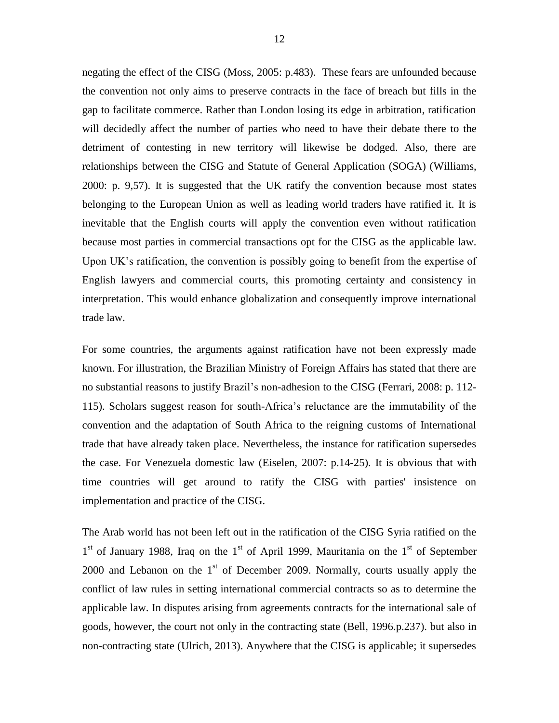negating the effect of the CISG (Moss, 2005: p.483). These fears are unfounded because the convention not only aims to preserve contracts in the face of breach but fills in the gap to facilitate commerce. Rather than London losing its edge in arbitration, ratification will decidedly affect the number of parties who need to have their debate there to the detriment of contesting in new territory will likewise be dodged. Also, there are relationships between the CISG and Statute of General Application (SOGA) (Williams, 2000: p. 9,57). It is suggested that the UK ratify the convention because most states belonging to the European Union as well as leading world traders have ratified it. It is inevitable that the English courts will apply the convention even without ratification because most parties in commercial transactions opt for the CISG as the applicable law. Upon UK's ratification, the convention is possibly going to benefit from the expertise of English lawyers and commercial courts, this promoting certainty and consistency in interpretation. This would enhance globalization and consequently improve international trade law.

For some countries, the arguments against ratification have not been expressly made known. For illustration, the Brazilian Ministry of Foreign Affairs has stated that there are no substantial reasons to justify Brazil's non-adhesion to the CISG (Ferrari, 2008: p. 112- 115). Scholars suggest reason for south-Africa's reluctance are the immutability of the convention and the adaptation of South Africa to the reigning customs of International trade that have already taken place. Nevertheless, the instance for ratification supersedes the case. For Venezuela domestic law (Eiselen, 2007: p.14-25). It is obvious that with time countries will get around to ratify the CISG with parties' insistence on implementation and practice of the CISG.

The Arab world has not been left out in the ratification of the CISG Syria ratified on the  $1<sup>st</sup>$  of January 1988, Iraq on the  $1<sup>st</sup>$  of April 1999, Mauritania on the  $1<sup>st</sup>$  of September 2000 and Lebanon on the  $1<sup>st</sup>$  of December 2009. Normally, courts usually apply the conflict of law rules in setting international commercial contracts so as to determine the applicable law. In disputes arising from agreements contracts for the international sale of goods, however, the court not only in the contracting state (Bell, 1996.p.237). but also in non-contracting state (Ulrich, 2013). Anywhere that the CISG is applicable; it supersedes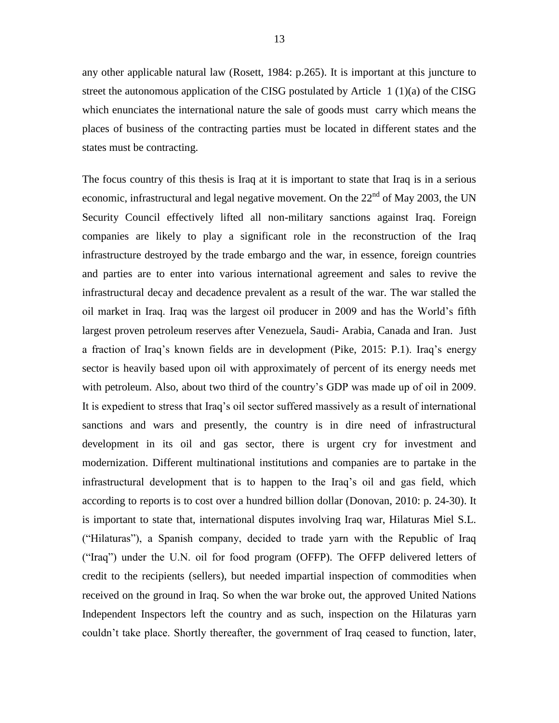any other applicable natural law (Rosett, 1984: p.265). It is important at this juncture to street the autonomous application of the CISG postulated by Article 1 (1)(a) of the CISG which enunciates the international nature the sale of goods must carry which means the places of business of the contracting parties must be located in different states and the states must be contracting.

The focus country of this thesis is Iraq at it is important to state that Iraq is in a serious economic, infrastructural and legal negative movement. On the  $22<sup>nd</sup>$  of May 2003, the UN Security Council effectively lifted all non-military sanctions against Iraq. Foreign companies are likely to play a significant role in the reconstruction of the Iraq infrastructure destroyed by the trade embargo and the war, in essence, foreign countries and parties are to enter into various international agreement and sales to revive the infrastructural decay and decadence prevalent as a result of the war. The war stalled the oil market in Iraq. Iraq was the largest oil producer in 2009 and has the World's fifth largest proven petroleum reserves after Venezuela, Saudi- Arabia, Canada and Iran. Just a fraction of Iraq's known fields are in development (Pike, 2015: P.1). Iraq's energy sector is heavily based upon oil with approximately of percent of its energy needs met with petroleum. Also, about two third of the country's GDP was made up of oil in 2009. It is expedient to stress that Iraq's oil sector suffered massively as a result of international sanctions and wars and presently, the country is in dire need of infrastructural development in its oil and gas sector, there is urgent cry for investment and modernization. Different multinational institutions and companies are to partake in the infrastructural development that is to happen to the Iraq's oil and gas field, which according to reports is to cost over a hundred billion dollar (Donovan, 2010: p. 24-30). It is important to state that, international disputes involving Iraq war, Hilaturas Miel S.L. (―Hilaturas‖), a Spanish company, decided to trade yarn with the Republic of Iraq ("Iraq") under the U.N. oil for food program (OFFP). The OFFP delivered letters of credit to the recipients (sellers), but needed impartial inspection of commodities when received on the ground in Iraq. So when the war broke out, the approved United Nations Independent Inspectors left the country and as such, inspection on the Hilaturas yarn couldn't take place. Shortly thereafter, the government of Iraq ceased to function, later,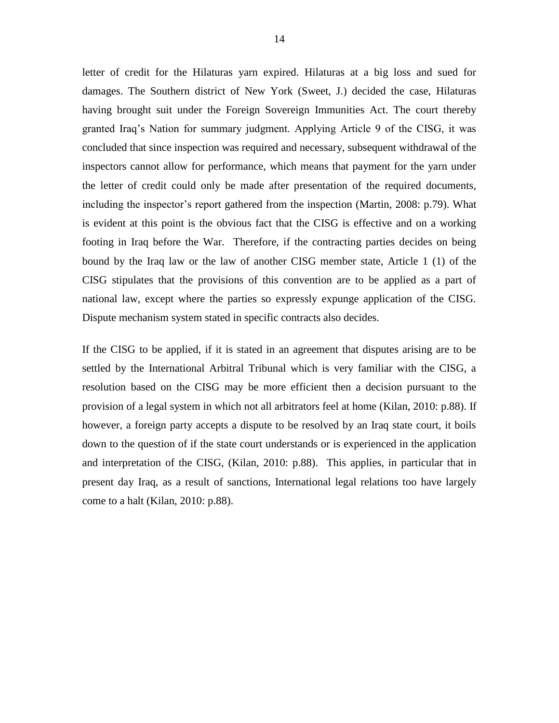letter of credit for the Hilaturas yarn expired. Hilaturas at a big loss and sued for damages. The Southern district of New York (Sweet, J.) decided the case, Hilaturas having brought suit under the Foreign Sovereign Immunities Act. The court thereby granted Iraq's Nation for summary judgment. Applying Article 9 of the CISG, it was concluded that since inspection was required and necessary, subsequent withdrawal of the inspectors cannot allow for performance, which means that payment for the yarn under the letter of credit could only be made after presentation of the required documents, including the inspector's report gathered from the inspection (Martin, 2008: p.79). What is evident at this point is the obvious fact that the CISG is effective and on a working footing in Iraq before the War. Therefore, if the contracting parties decides on being

bound by the Iraq law or the law of another CISG member state, Article 1 (1) of the CISG stipulates that the provisions of this convention are to be applied as a part of national law, except where the parties so expressly expunge application of the CISG. Dispute mechanism system stated in specific contracts also decides.

If the CISG to be applied, if it is stated in an agreement that disputes arising are to be settled by the International Arbitral Tribunal which is very familiar with the CISG, a resolution based on the CISG may be more efficient then a decision pursuant to the provision of a legal system in which not all arbitrators feel at home (Kilan, 2010: p.88). If however, a foreign party accepts a dispute to be resolved by an Iraq state court, it boils down to the question of if the state court understands or is experienced in the application and interpretation of the CISG, (Kilan, 2010: p.88). This applies, in particular that in present day Iraq, as a result of sanctions, International legal relations too have largely come to a halt (Kilan, 2010: p.88).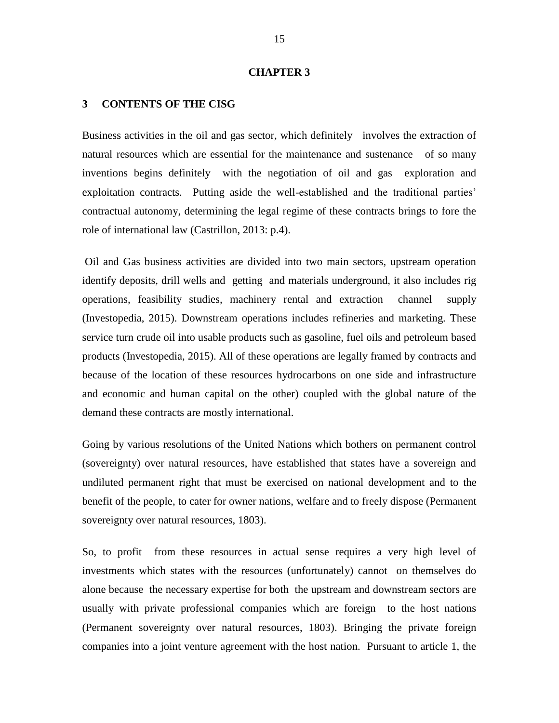#### **CHAPTER 3**

#### <span id="page-24-0"></span>**3 CONTENTS OF THE CISG**

Business activities in the oil and gas sector, which definitely involves the extraction of natural resources which are essential for the maintenance and sustenance of so many inventions begins definitely with the negotiation of oil and gas exploration and exploitation contracts. Putting aside the well-established and the traditional parties' contractual autonomy, determining the legal regime of these contracts brings to fore the role of international law (Castrillon, 2013: p.4).

Oil and Gas business activities are divided into two main sectors, upstream operation identify deposits, drill wells and getting and materials underground, it also includes rig operations, feasibility studies, machinery rental and extraction channel supply (Investopedia, 2015). Downstream operations includes refineries and marketing. These service turn crude oil into usable products such as gasoline, fuel oils and petroleum based products (Investopedia, 2015). All of these operations are legally framed by contracts and because of the location of these resources hydrocarbons on one side and infrastructure and economic and human capital on the other) coupled with the global nature of the demand these contracts are mostly international.

Going by various resolutions of the United Nations which bothers on permanent control (sovereignty) over natural resources, have established that states have a sovereign and undiluted permanent right that must be exercised on national development and to the benefit of the people, to cater for owner nations, welfare and to freely dispose (Permanent sovereignty over natural resources, 1803).

So, to profit from these resources in actual sense requires a very high level of investments which states with the resources (unfortunately) cannot on themselves do alone because the necessary expertise for both the upstream and downstream sectors are usually with private professional companies which are foreign to the host nations (Permanent sovereignty over natural resources, 1803). Bringing the private foreign companies into a joint venture agreement with the host nation. Pursuant to article 1, the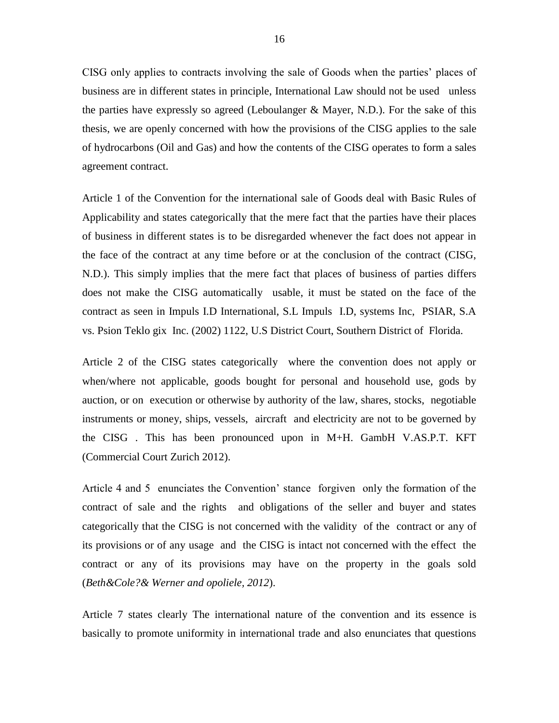CISG only applies to contracts involving the sale of Goods when the parties' places of business are in different states in principle, International Law should not be used unless the parties have expressly so agreed (Leboulanger & Mayer, N.D.). For the sake of this thesis, we are openly concerned with how the provisions of the CISG applies to the sale of hydrocarbons (Oil and Gas) and how the contents of the CISG operates to form a sales agreement contract.

Article 1 of the Convention for the international sale of Goods deal with Basic Rules of Applicability and states categorically that the mere fact that the parties have their places of business in different states is to be disregarded whenever the fact does not appear in the face of the contract at any time before or at the conclusion of the contract (CISG, N.D.). This simply implies that the mere fact that places of business of parties differs does not make the CISG automatically usable, it must be stated on the face of the contract as seen in Impuls I.D International, S.L Impuls I.D, systems Inc, PSIAR, S.A vs. Psion Teklo gix Inc. (2002) 1122, U.S District Court, Southern District of Florida.

Article 2 of the CISG states categorically where the convention does not apply or when/where not applicable, goods bought for personal and household use, gods by auction, or on execution or otherwise by authority of the law, shares, stocks, negotiable instruments or money, ships, vessels, aircraft and electricity are not to be governed by the CISG . This has been pronounced upon in M+H. GambH V.AS.P.T. KFT (Commercial Court Zurich 2012).

Article 4 and 5 enunciates the Convention' stance forgiven only the formation of the contract of sale and the rights and obligations of the seller and buyer and states categorically that the CISG is not concerned with the validity of the contract or any of its provisions or of any usage and the CISG is intact not concerned with the effect the contract or any of its provisions may have on the property in the goals sold (*Beth&Cole?& Werner and opoliele, 2012*).

Article 7 states clearly The international nature of the convention and its essence is basically to promote uniformity in international trade and also enunciates that questions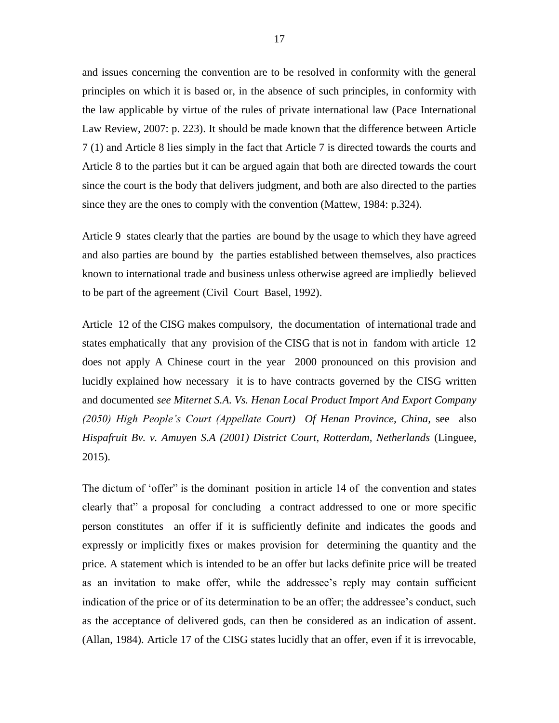and issues concerning the convention are to be resolved in conformity with the general principles on which it is based or, in the absence of such principles, in conformity with the law applicable by virtue of the rules of private international law [\(Pace International](https://www.google.com.cy/search?tbo=p&tbm=bks&q=inauthor:%22Pace+International+Law+Review%22&source=gbs_metadata_r&cad=8)  [Law Review,](https://www.google.com.cy/search?tbo=p&tbm=bks&q=inauthor:%22Pace+International+Law+Review%22&source=gbs_metadata_r&cad=8) 2007: p. 223). It should be made known that the difference between Article 7 (1) and Article 8 lies simply in the fact that Article 7 is directed towards the courts and Article 8 to the parties but it can be argued again that both are directed towards the court since the court is the body that delivers judgment, and both are also directed to the parties since they are the ones to comply with the convention (Mattew, 1984: p.324).

Article 9 states clearly that the parties are bound by the usage to which they have agreed and also parties are bound by the parties established between themselves, also practices known to international trade and business unless otherwise agreed are impliedly believed to be part of the agreement (Civil Court Basel, 1992).

Article 12 of the CISG makes compulsory, the documentation of international trade and states emphatically that any provision of the CISG that is not in fandom with article 12 does not apply A Chinese court in the year 2000 pronounced on this provision and lucidly explained how necessary it is to have contracts governed by the CISG written and documented *see Miternet S.A. Vs. Henan Local Product Import And Export Company (2050) High People's Court (Appellate Court) Of Henan Province, China,* see also *Hispafruit Bv. v. Amuyen S.A (2001) District Court, Rotterdam, Netherlands* (Linguee, 2015).

The dictum of 'offer'' is the dominant position in article 14 of the convention and states clearly that" a proposal for concluding a contract addressed to one or more specific person constitutes an offer if it is sufficiently definite and indicates the goods and expressly or implicitly fixes or makes provision for determining the quantity and the price. A statement which is intended to be an offer but lacks definite price will be treated as an invitation to make offer, while the addressee's reply may contain sufficient indication of the price or of its determination to be an offer; the addressee's conduct, such as the acceptance of delivered gods, can then be considered as an indication of assent. (Allan, 1984). Article 17 of the CISG states lucidly that an offer, even if it is irrevocable,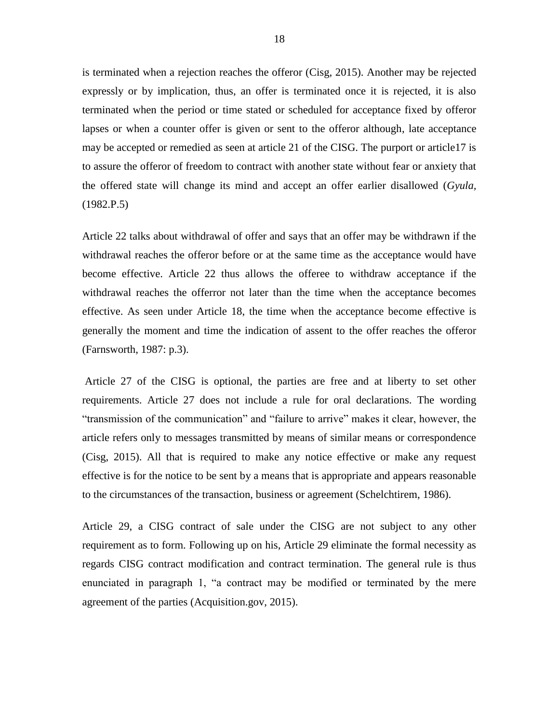is terminated when a rejection reaches the offeror (Cisg, 2015). Another may be rejected expressly or by implication, thus, an offer is terminated once it is rejected, it is also terminated when the period or time stated or scheduled for acceptance fixed by offeror lapses or when a counter offer is given or sent to the offeror although, late acceptance may be accepted or remedied as seen at article 21 of the CISG. The purport or article17 is to assure the offeror of freedom to contract with another state without fear or anxiety that the offered state will change its mind and accept an offer earlier disallowed (*Gyula,*  (1982.P.5)

Article 22 talks about withdrawal of offer and says that an offer may be withdrawn if the withdrawal reaches the offeror before or at the same time as the acceptance would have become effective. Article 22 thus allows the offeree to withdraw acceptance if the withdrawal reaches the offerror not later than the time when the acceptance becomes effective. As seen under Article 18, the time when the acceptance become effective is generally the moment and time the indication of assent to the offer reaches the offeror (Farnsworth, 1987: p.3).

Article 27 of the CISG is optional, the parties are free and at liberty to set other requirements. Article 27 does not include a rule for oral declarations. The wording "transmission of the communication" and "failure to arrive" makes it clear, however, the article refers only to messages transmitted by means of similar means or correspondence (Cisg, 2015). All that is required to make any notice effective or make any request effective is for the notice to be sent by a means that is appropriate and appears reasonable to the circumstances of the transaction, business or agreement (Schelchtirem, 1986).

Article 29, a CISG contract of sale under the CISG are not subject to any other requirement as to form. Following up on his, Article 29 eliminate the formal necessity as regards CISG contract modification and contract termination. The general rule is thus enunciated in paragraph 1, "a contract may be modified or terminated by the mere agreement of the parties (Acquisition.gov, 2015).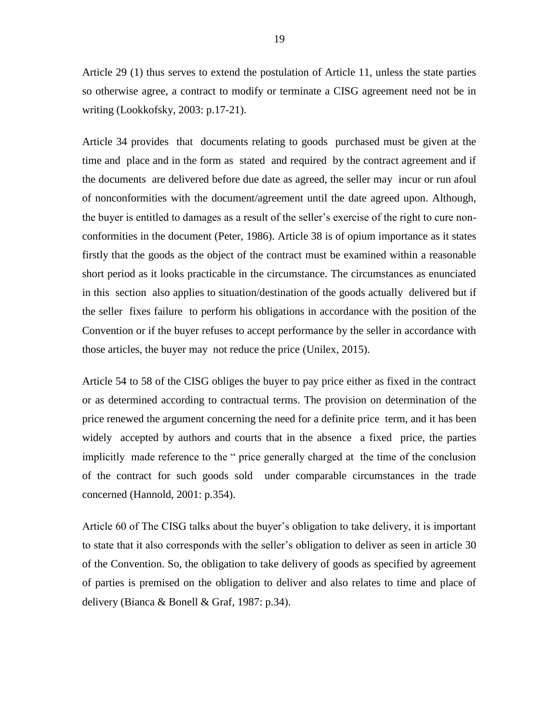Article 29 (1) thus serves to extend the postulation of Article 11, unless the state parties so otherwise agree, a contract to modify or terminate a CISG agreement need not be in writing (Lookkofsky, 2003: p.17-21).

Article 34 provides that documents relating to goods purchased must be given at the time and place and in the form as stated and required by the contract agreement and if the documents are delivered before due date as agreed, the seller may incur or run afoul of nonconformities with the document/agreement until the date agreed upon. Although, the buyer is entitled to damages as a result of the seller's exercise of the right to cure nonconformities in the document (Peter, 1986). Article 38 is of opium importance as it states firstly that the goods as the object of the contract must be examined within a reasonable short period as it looks practicable in the circumstance. The circumstances as enunciated in this section also applies to situation/destination of the goods actually delivered but if the seller fixes failure to perform his obligations in accordance with the position of the Convention or if the buyer refuses to accept performance by the seller in accordance with those articles, the buyer may not reduce the price (Unilex, 2015).

Article 54 to 58 of the CISG obliges the buyer to pay price either as fixed in the contract or as determined according to contractual terms. The provision on determination of the price renewed the argument concerning the need for a definite price term, and it has been widely accepted by authors and courts that in the absence a fixed price, the parties implicitly made reference to the " price generally charged at the time of the conclusion of the contract for such goods sold under comparable circumstances in the trade concerned (Hannold, 2001: p.354).

Article 60 of The CISG talks about the buyer's obligation to take delivery, it is important to state that it also corresponds with the seller's obligation to deliver as seen in article 30 of the Convention. So, the obligation to take delivery of goods as specified by agreement of parties is premised on the obligation to deliver and also relates to time and place of delivery (Bianca & Bonell & Graf, 1987: p.34).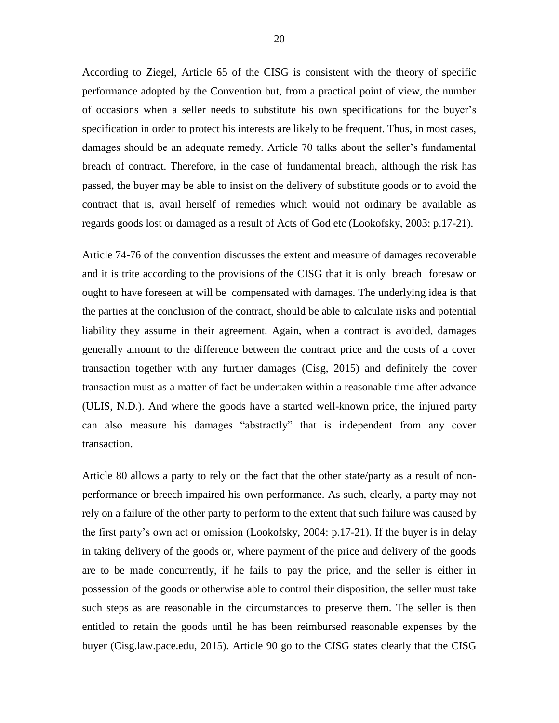According to Ziegel, Article 65 of the CISG is consistent with the theory of specific performance adopted by the Convention but, from a practical point of view, the number of occasions when a seller needs to substitute his own specifications for the buyer's specification in order to protect his interests are likely to be frequent. Thus, in most cases, damages should be an adequate remedy. Article 70 talks about the seller's fundamental breach of contract. Therefore, in the case of fundamental breach, although the risk has passed, the buyer may be able to insist on the delivery of substitute goods or to avoid the contract that is, avail herself of remedies which would not ordinary be available as regards goods lost or damaged as a result of Acts of God etc (Lookofsky, 2003: p.17-21).

Article 74-76 of the convention discusses the extent and measure of damages recoverable and it is trite according to the provisions of the CISG that it is only breach foresaw or ought to have foreseen at will be compensated with damages. The underlying idea is that the parties at the conclusion of the contract, should be able to calculate risks and potential liability they assume in their agreement. Again, when a contract is avoided, damages generally amount to the difference between the contract price and the costs of a cover transaction together with any further damages (Cisg, 2015) and definitely the cover transaction must as a matter of fact be undertaken within a reasonable time after advance (ULIS, N.D.). And where the goods have a started well-known price, the injured party can also measure his damages "abstractly" that is independent from any cover transaction.

Article 80 allows a party to rely on the fact that the other state/party as a result of nonperformance or breech impaired his own performance. As such, clearly, a party may not rely on a failure of the other party to perform to the extent that such failure was caused by the first party's own act or omission (Lookofsky, 2004: p.17-21). If the buyer is in delay in taking delivery of the goods or, where payment of the price and delivery of the goods are to be made concurrently, if he fails to pay the price, and the seller is either in possession of the goods or otherwise able to control their disposition, the seller must take such steps as are reasonable in the circumstances to preserve them. The seller is then entitled to retain the goods until he has been reimbursed reasonable expenses by the buyer (Cisg.law.pace.edu, 2015). Article 90 go to the CISG states clearly that the CISG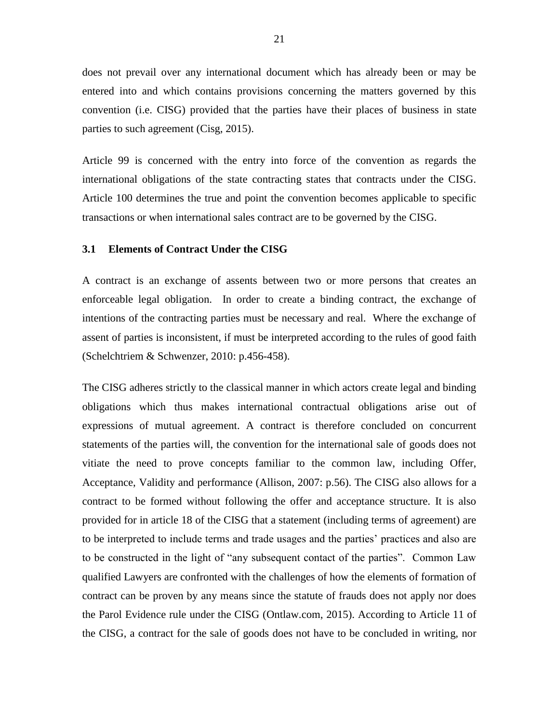does not prevail over any international document which has already been or may be entered into and which contains provisions concerning the matters governed by this convention (i.e. CISG) provided that the parties have their places of business in state parties to such agreement (Cisg, 2015).

Article 99 is concerned with the entry into force of the convention as regards the international obligations of the state contracting states that contracts under the CISG. Article 100 determines the true and point the convention becomes applicable to specific transactions or when international sales contract are to be governed by the CISG.

#### <span id="page-30-0"></span>**3.1 Elements of Contract Under the CISG**

A contract is an exchange of assents between two or more persons that creates an enforceable legal obligation. In order to create a binding contract, the exchange of intentions of the contracting parties must be necessary and real. Where the exchange of assent of parties is inconsistent, if must be interpreted according to the rules of good faith (Schelchtriem & Schwenzer, 2010: p.456-458).

The CISG adheres strictly to the classical manner in which actors create legal and binding obligations which thus makes international contractual obligations arise out of expressions of mutual agreement. A contract is therefore concluded on concurrent statements of the parties will, the convention for the international sale of goods does not vitiate the need to prove concepts familiar to the common law, including Offer, Acceptance, Validity and performance (Allison, 2007: p.56). The CISG also allows for a contract to be formed without following the offer and acceptance structure. It is also provided for in article 18 of the CISG that a statement (including terms of agreement) are to be interpreted to include terms and trade usages and the parties' practices and also are to be constructed in the light of "any subsequent contact of the parties". Common Law qualified Lawyers are confronted with the challenges of how the elements of formation of contract can be proven by any means since the statute of frauds does not apply nor does the Parol Evidence rule under the CISG (Ontlaw.com, 2015). According to Article 11 of the CISG, a contract for the sale of goods does not have to be concluded in writing, nor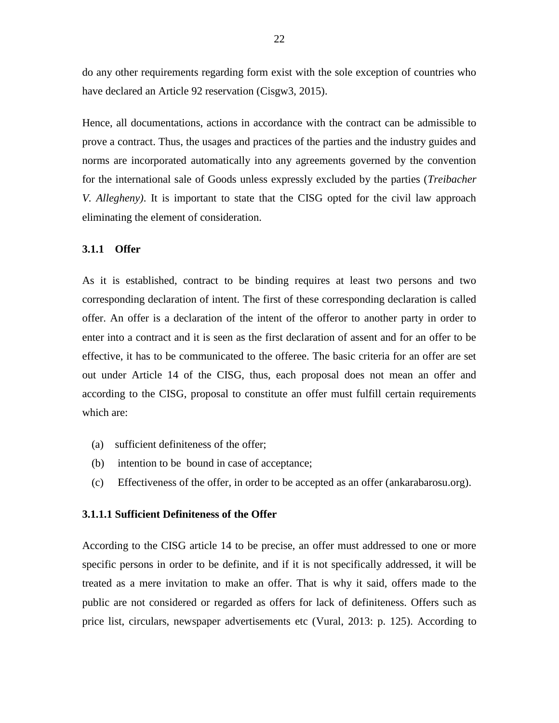do any other requirements regarding form exist with the sole exception of countries who have declared an Article 92 reservation (Cisgw3, 2015).

Hence, all documentations, actions in accordance with the contract can be admissible to prove a contract. Thus, the usages and practices of the parties and the industry guides and norms are incorporated automatically into any agreements governed by the convention for the international sale of Goods unless expressly excluded by the parties (*Treibacher V. Allegheny)*. It is important to state that the CISG opted for the civil law approach eliminating the element of consideration.

#### <span id="page-31-0"></span>**3.1.1 Offer**

As it is established, contract to be binding requires at least two persons and two corresponding declaration of intent. The first of these corresponding declaration is called offer. An offer is a declaration of the intent of the offeror to another party in order to enter into a contract and it is seen as the first declaration of assent and for an offer to be effective, it has to be communicated to the offeree. The basic criteria for an offer are set out under Article 14 of the CISG, thus, each proposal does not mean an offer and according to the CISG, proposal to constitute an offer must fulfill certain requirements which are:

- (a) sufficient definiteness of the offer;
- (b) intention to be bound in case of acceptance;
- (c) Effectiveness of the offer, in order to be accepted as an offer (ankarabarosu.org).

#### **3.1.1.1 Sufficient Definiteness of the Offer**

According to the CISG article 14 to be precise, an offer must addressed to one or more specific persons in order to be definite, and if it is not specifically addressed, it will be treated as a mere invitation to make an offer. That is why it said, offers made to the public are not considered or regarded as offers for lack of definiteness. Offers such as price list, circulars, newspaper advertisements etc (Vural, 2013: p. 125). According to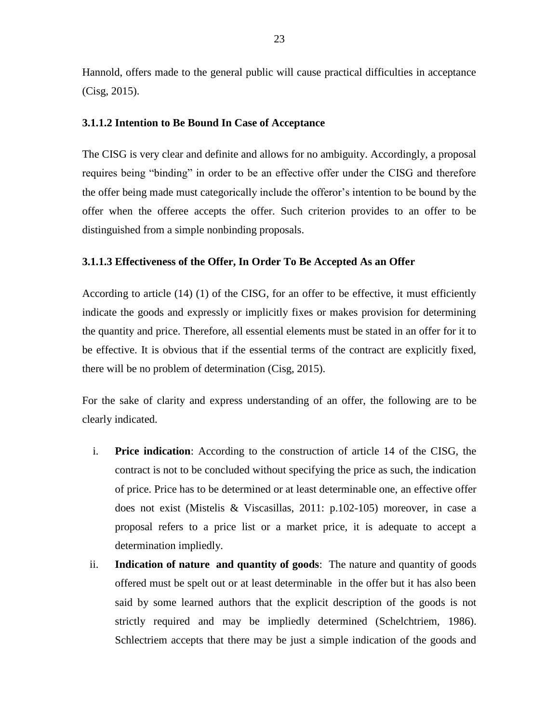Hannold, offers made to the general public will cause practical difficulties in acceptance (Cisg, 2015).

## **3.1.1.2 Intention to Be Bound In Case of Acceptance**

The CISG is very clear and definite and allows for no ambiguity. Accordingly, a proposal requires being "binding" in order to be an effective offer under the CISG and therefore the offer being made must categorically include the offeror's intention to be bound by the offer when the offeree accepts the offer. Such criterion provides to an offer to be distinguished from a simple nonbinding proposals.

## **3.1.1.3 Effectiveness of the Offer, In Order To Be Accepted As an Offer**

According to article (14) (1) of the CISG, for an offer to be effective, it must efficiently indicate the goods and expressly or implicitly fixes or makes provision for determining the quantity and price. Therefore, all essential elements must be stated in an offer for it to be effective. It is obvious that if the essential terms of the contract are explicitly fixed, there will be no problem of determination (Cisg, 2015).

For the sake of clarity and express understanding of an offer, the following are to be clearly indicated.

- i. **Price indication**: According to the construction of article 14 of the CISG, the contract is not to be concluded without specifying the price as such, the indication of price. Price has to be determined or at least determinable one, an effective offer does not exist (Mistelis & Viscasillas, 2011: p.102-105) moreover, in case a proposal refers to a price list or a market price, it is adequate to accept a determination impliedly.
- ii. **Indication of nature and quantity of goods**: The nature and quantity of goods offered must be spelt out or at least determinable in the offer but it has also been said by some learned authors that the explicit description of the goods is not strictly required and may be impliedly determined (Schelchtriem, 1986). Schlectriem accepts that there may be just a simple indication of the goods and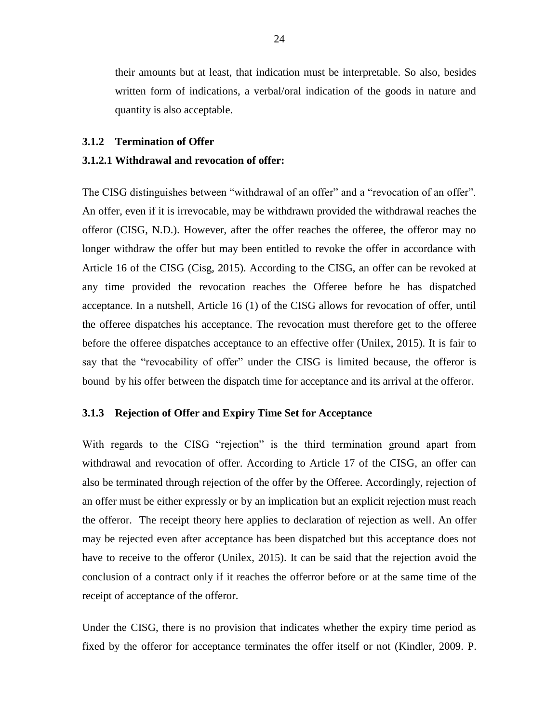their amounts but at least, that indication must be interpretable. So also, besides written form of indications, a verbal/oral indication of the goods in nature and quantity is also acceptable.

#### <span id="page-33-0"></span>**3.1.2 Termination of Offer**

# **3.1.2.1 Withdrawal and revocation of offer:**

The CISG distinguishes between "withdrawal of an offer" and a "revocation of an offer". An offer, even if it is irrevocable, may be withdrawn provided the withdrawal reaches the offeror (CISG, N.D.). However, after the offer reaches the offeree, the offeror may no longer withdraw the offer but may been entitled to revoke the offer in accordance with Article 16 of the CISG (Cisg, 2015). According to the CISG, an offer can be revoked at any time provided the revocation reaches the Offeree before he has dispatched acceptance. In a nutshell, Article 16 (1) of the CISG allows for revocation of offer, until the offeree dispatches his acceptance. The revocation must therefore get to the offeree before the offeree dispatches acceptance to an effective offer (Unilex, 2015). It is fair to say that the "revocability of offer" under the CISG is limited because, the offeror is bound by his offer between the dispatch time for acceptance and its arrival at the offeror.

# <span id="page-33-1"></span>**3.1.3 Rejection of Offer and Expiry Time Set for Acceptance**

With regards to the CISG "rejection" is the third termination ground apart from withdrawal and revocation of offer. According to Article 17 of the CISG, an offer can also be terminated through rejection of the offer by the Offeree. Accordingly, rejection of an offer must be either expressly or by an implication but an explicit rejection must reach the offeror. The receipt theory here applies to declaration of rejection as well. An offer may be rejected even after acceptance has been dispatched but this acceptance does not have to receive to the offeror (Unilex, 2015). It can be said that the rejection avoid the conclusion of a contract only if it reaches the offerror before or at the same time of the receipt of acceptance of the offeror.

Under the CISG, there is no provision that indicates whether the expiry time period as fixed by the offeror for acceptance terminates the offer itself or not (Kindler, 2009. P.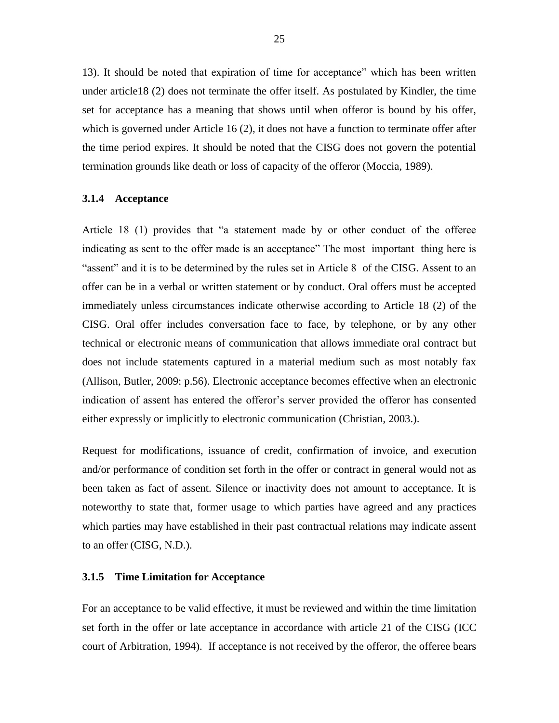13). It should be noted that expiration of time for acceptance" which has been written under article18 (2) does not terminate the offer itself. As postulated by Kindler, the time set for acceptance has a meaning that shows until when offeror is bound by his offer, which is governed under Article 16 (2), it does not have a function to terminate offer after the time period expires. It should be noted that the CISG does not govern the potential termination grounds like death or loss of capacity of the offeror (Moccia, 1989).

## <span id="page-34-0"></span>**3.1.4 Acceptance**

Article 18 (1) provides that "a statement made by or other conduct of the offeree indicating as sent to the offer made is an acceptance" The most important thing here is "assent" and it is to be determined by the rules set in Article 8 of the CISG. Assent to an offer can be in a verbal or written statement or by conduct. Oral offers must be accepted immediately unless circumstances indicate otherwise according to Article 18 (2) of the CISG. Oral offer includes conversation face to face, by telephone, or by any other technical or electronic means of communication that allows immediate oral contract but does not include statements captured in a material medium such as most notably fax (Allison, Butler, 2009: p.56). Electronic acceptance becomes effective when an electronic indication of assent has entered the offeror's server provided the offeror has consented either expressly or implicitly to electronic communication (Christian, 2003.).

Request for modifications, issuance of credit, confirmation of invoice, and execution and/or performance of condition set forth in the offer or contract in general would not as been taken as fact of assent. Silence or inactivity does not amount to acceptance. It is noteworthy to state that, former usage to which parties have agreed and any practices which parties may have established in their past contractual relations may indicate assent to an offer (CISG, N.D.).

# <span id="page-34-1"></span>**3.1.5 Time Limitation for Acceptance**

For an acceptance to be valid effective, it must be reviewed and within the time limitation set forth in the offer or late acceptance in accordance with article 21 of the CISG (ICC court of Arbitration, 1994). If acceptance is not received by the offeror, the offeree bears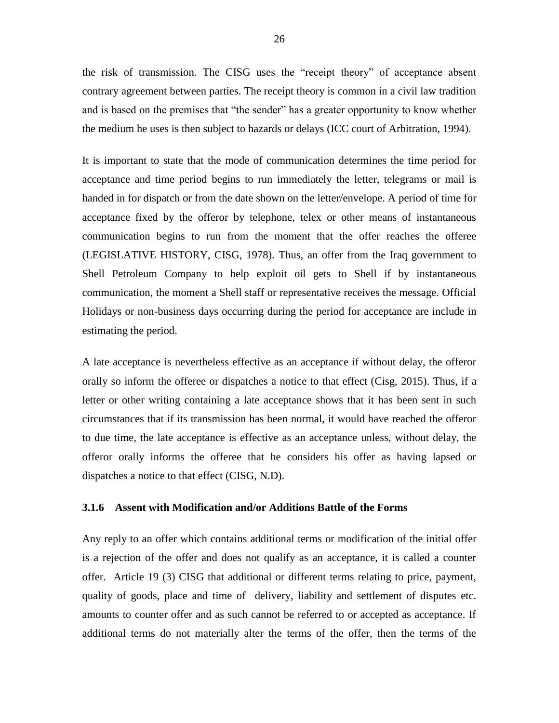the risk of transmission. The CISG uses the "receipt theory" of acceptance absent contrary agreement between parties. The receipt theory is common in a civil law tradition and is based on the premises that "the sender" has a greater opportunity to know whether the medium he uses is then subject to hazards or delays (ICC court of Arbitration, 1994).

It is important to state that the mode of communication determines the time period for acceptance and time period begins to run immediately the letter, telegrams or mail is handed in for dispatch or from the date shown on the letter/envelope. A period of time for acceptance fixed by the offeror by telephone, telex or other means of instantaneous communication begins to run from the moment that the offer reaches the offeree (LEGISLATIVE HISTORY, CISG, 1978). Thus, an offer from the Iraq government to Shell Petroleum Company to help exploit oil gets to Shell if by instantaneous communication, the moment a Shell staff or representative receives the message. Official Holidays or non-business days occurring during the period for acceptance are include in estimating the period.

A late acceptance is nevertheless effective as an acceptance if without delay, the offeror orally so inform the offeree or dispatches a notice to that effect (Cisg, 2015). Thus, if a letter or other writing containing a late acceptance shows that it has been sent in such circumstances that if its transmission has been normal, it would have reached the offeror to due time, the late acceptance is effective as an acceptance unless, without delay, the offeror orally informs the offeree that he considers his offer as having lapsed or dispatches a notice to that effect (CISG, N.D).

# <span id="page-35-0"></span>**3.1.6 Assent with Modification and/or Additions Battle of the Forms**

Any reply to an offer which contains additional terms or modification of the initial offer is a rejection of the offer and does not qualify as an acceptance, it is called a counter offer. Article 19 (3) CISG that additional or different terms relating to price, payment, quality of goods, place and time of delivery, liability and settlement of disputes etc. amounts to counter offer and as such cannot be referred to or accepted as acceptance. If additional terms do not materially alter the terms of the offer, then the terms of the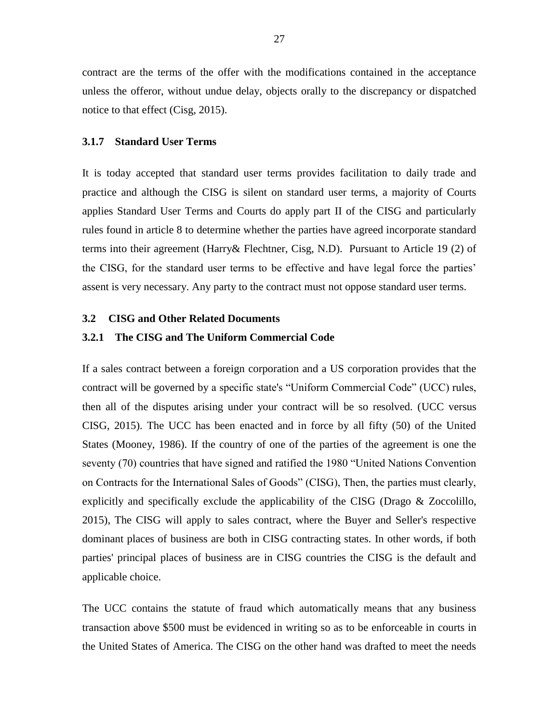contract are the terms of the offer with the modifications contained in the acceptance unless the offeror, without undue delay, objects orally to the discrepancy or dispatched notice to that effect (Cisg, 2015).

# <span id="page-36-0"></span>**3.1.7 Standard User Terms**

It is today accepted that standard user terms provides facilitation to daily trade and practice and although the CISG is silent on standard user terms, a majority of Courts applies Standard User Terms and Courts do apply part II of the CISG and particularly rules found in article 8 to determine whether the parties have agreed incorporate standard terms into their agreement (Harry& Flechtner, Cisg, N.D). Pursuant to Article 19 (2) of the CISG, for the standard user terms to be effective and have legal force the parties' assent is very necessary. Any party to the contract must not oppose standard user terms.

# <span id="page-36-1"></span>**3.2 CISG and Other Related Documents**

#### <span id="page-36-2"></span>**3.2.1 The CISG and The Uniform Commercial Code**

If a sales contract between a foreign corporation and a US corporation provides that the contract will be governed by a specific state's "Uniform Commercial Code" (UCC) rules, then all of the disputes arising under your contract will be so resolved. (UCC versus CISG, 2015). The UCC has been enacted and in force by all fifty (50) of the United States (Mooney, 1986). If the country of one of the parties of the agreement is one the seventy (70) countries that have signed and ratified the 1980 "United Nations Convention on Contracts for the International Sales of Goods" (CISG), Then, the parties must clearly, explicitly and specifically exclude the applicability of the CISG (Drago & Zoccolillo, 2015), The CISG will apply to sales contract, where the Buyer and Seller's respective dominant places of business are both in CISG contracting states. In other words, if both parties' principal places of business are in CISG countries the CISG is the default and applicable choice.

The UCC contains the statute of fraud which automatically means that any business transaction above \$500 must be evidenced in writing so as to be enforceable in courts in the United States of America. The CISG on the other hand was drafted to meet the needs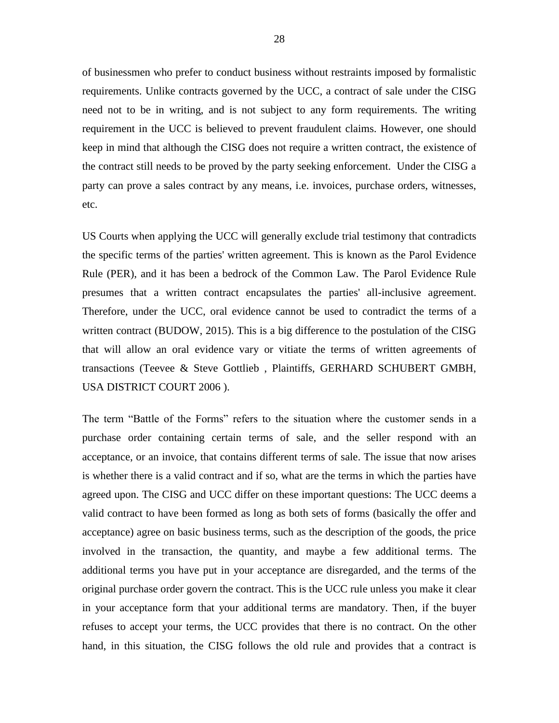of businessmen who prefer to conduct business without restraints imposed by formalistic requirements. Unlike contracts governed by the UCC, a contract of sale under the CISG need not to be in writing, and is not subject to any form requirements. The writing requirement in the UCC is believed to prevent fraudulent claims. However, one should keep in mind that although the CISG does not require a written contract, the existence of the contract still needs to be proved by the party seeking enforcement. Under the CISG a party can prove a sales contract by any means, i.e. invoices, purchase orders, witnesses, etc.

US Courts when applying the UCC will generally exclude trial testimony that contradicts the specific terms of the parties' written agreement. This is known as the Parol Evidence Rule (PER), and it has been a bedrock of the Common Law. The Parol Evidence Rule presumes that a written contract encapsulates the parties' all-inclusive agreement. Therefore, under the UCC, oral evidence cannot be used to contradict the terms of a written contract (BUDOW, 2015). This is a big difference to the postulation of the CISG that will allow an oral evidence vary or vitiate the terms of written agreements of transactions (Teevee & Steve Gottlieb , Plaintiffs, GERHARD SCHUBERT GMBH, USA DISTRICT COURT 2006 ).

The term "Battle of the Forms" refers to the situation where the customer sends in a purchase order containing certain terms of sale, and the seller respond with an acceptance, or an invoice, that contains different terms of sale. The issue that now arises is whether there is a valid contract and if so, what are the terms in which the parties have agreed upon. The CISG and UCC differ on these important questions: The UCC deems a valid contract to have been formed as long as both sets of forms (basically the offer and acceptance) agree on basic business terms, such as the description of the goods, the price involved in the transaction, the quantity, and maybe a few additional terms. The additional terms you have put in your acceptance are disregarded, and the terms of the original purchase order govern the contract. This is the UCC rule unless you make it clear in your acceptance form that your additional terms are mandatory. Then, if the buyer refuses to accept your terms, the UCC provides that there is no contract. On the other hand, in this situation, the CISG follows the old rule and provides that a contract is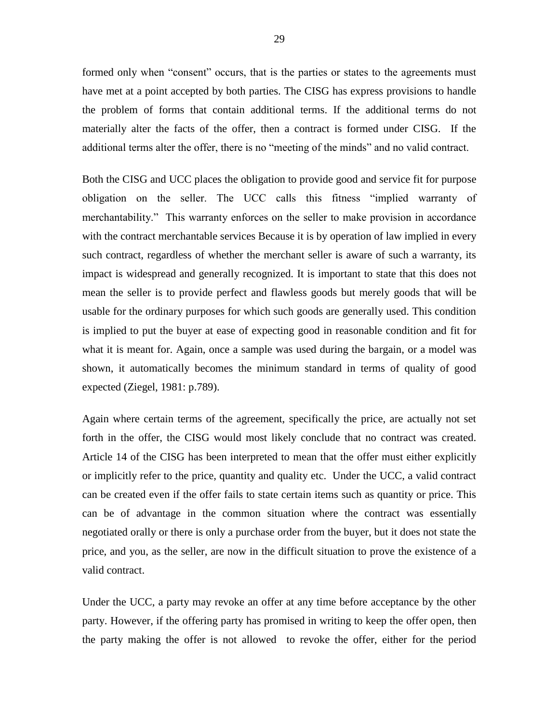formed only when "consent" occurs, that is the parties or states to the agreements must have met at a point accepted by both parties. The CISG has express provisions to handle the problem of forms that contain additional terms. If the additional terms do not materially alter the facts of the offer, then a contract is formed under CISG. If the additional terms alter the offer, there is no "meeting of the minds" and no valid contract.

Both the CISG and UCC places the obligation to provide good and service fit for purpose obligation on the seller. The UCC calls this fitness "implied warranty of merchantability." This warranty enforces on the seller to make provision in accordance with the contract merchantable services Because it is by operation of law implied in every such contract, regardless of whether the merchant seller is aware of such a warranty, its impact is widespread and generally recognized. It is important to state that this does not mean the seller is to provide perfect and flawless goods but merely goods that will be usable for the ordinary purposes for which such goods are generally used. This condition is implied to put the buyer at ease of expecting good in reasonable condition and fit for what it is meant for. Again, once a sample was used during the bargain, or a model was shown, it automatically becomes the minimum standard in terms of quality of good expected (Ziegel, 1981: p.789).

Again where certain terms of the agreement, specifically the price, are actually not set forth in the offer, the CISG would most likely conclude that no contract was created. Article 14 of the CISG has been interpreted to mean that the offer must either explicitly or implicitly refer to the price, quantity and quality etc. Under the UCC, a valid contract can be created even if the offer fails to state certain items such as quantity or price. This can be of advantage in the common situation where the contract was essentially negotiated orally or there is only a purchase order from the buyer, but it does not state the price, and you, as the seller, are now in the difficult situation to prove the existence of a valid contract.

Under the UCC, a party may revoke an offer at any time before acceptance by the other party. However, if the offering party has promised in writing to keep the offer open, then the party making the offer is not allowed to revoke the offer, either for the period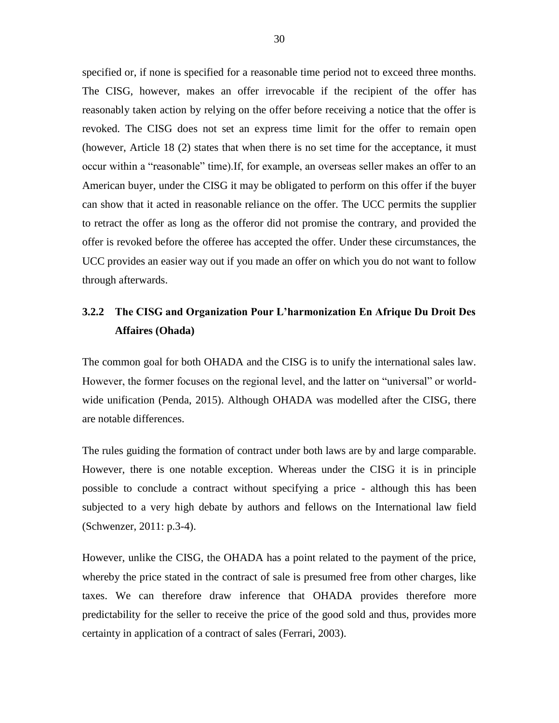specified or, if none is specified for a reasonable time period not to exceed three months. The CISG, however, makes an offer irrevocable if the recipient of the offer has reasonably taken action by relying on the offer before receiving a notice that the offer is revoked. The CISG does not set an express time limit for the offer to remain open (however, Article 18 (2) states that when there is no set time for the acceptance, it must occur within a "reasonable" time).If, for example, an overseas seller makes an offer to an American buyer, under the CISG it may be obligated to perform on this offer if the buyer can show that it acted in reasonable reliance on the offer. The UCC permits the supplier to retract the offer as long as the offeror did not promise the contrary, and provided the offer is revoked before the offeree has accepted the offer. Under these circumstances, the UCC provides an easier way out if you made an offer on which you do not want to follow through afterwards.

# <span id="page-39-0"></span>**3.2.2 The CISG and Organization Pour L'harmonization En Afrique Du Droit Des Affaires (Ohada)**

The common goal for both OHADA and the CISG is to unify the international sales law. However, the former focuses on the regional level, and the latter on "universal" or worldwide unification (Penda, 2015). Although OHADA was modelled after the CISG, there are notable differences.

The rules guiding the formation of contract under both laws are by and large comparable. However, there is one notable exception. Whereas under the CISG it is in principle possible to conclude a contract without specifying a price - although this has been subjected to a very high debate by authors and fellows on the International law field (Schwenzer, 2011: p.3-4).

However, unlike the CISG, the OHADA has a point related to the payment of the price, whereby the price stated in the contract of sale is presumed free from other charges, like taxes. We can therefore draw inference that OHADA provides therefore more predictability for the seller to receive the price of the good sold and thus, provides more certainty in application of a contract of sales (Ferrari, 2003).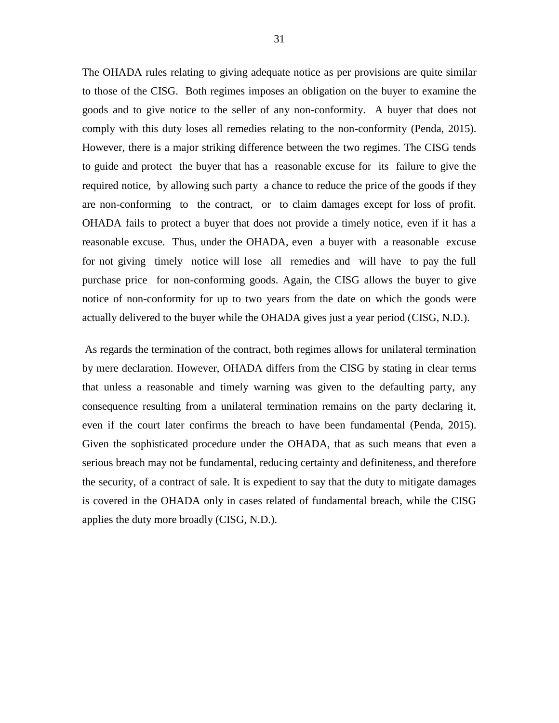The OHADA rules relating to giving adequate notice as per provisions are quite similar to those of the CISG. Both regimes imposes an obligation on the buyer to examine the goods and to give notice to the seller of any non-conformity. A buyer that does not comply with this duty loses all remedies relating to the non-conformity (Penda, 2015). However, there is a major striking difference between the two regimes. The CISG tends to guide and protect the buyer that has a reasonable excuse for its failure to give the required notice, by allowing such party a chance to reduce the price of the goods if they are non-conforming to the contract, or to claim damages except for loss of profit. OHADA fails to protect a buyer that does not provide a timely notice, even if it has a reasonable excuse. Thus, under the OHADA, even a buyer with a reasonable excuse for not giving timely notice will lose all remedies and will have to pay the full purchase price for non-conforming goods. Again, the CISG allows the buyer to give notice of non-conformity for up to two years from the date on which the goods were actually delivered to the buyer while the OHADA gives just a year period (CISG, N.D.).

As regards the termination of the contract, both regimes allows for unilateral termination by mere declaration. However, OHADA differs from the CISG by stating in clear terms that unless a reasonable and timely warning was given to the defaulting party, any consequence resulting from a unilateral termination remains on the party declaring it, even if the court later confirms the breach to have been fundamental (Penda, 2015). Given the sophisticated procedure under the OHADA, that as such means that even a serious breach may not be fundamental, reducing certainty and definiteness, and therefore the security, of a contract of sale. It is expedient to say that the duty to mitigate damages is covered in the OHADA only in cases related of fundamental breach, while the CISG applies the duty more broadly (CISG, N.D.).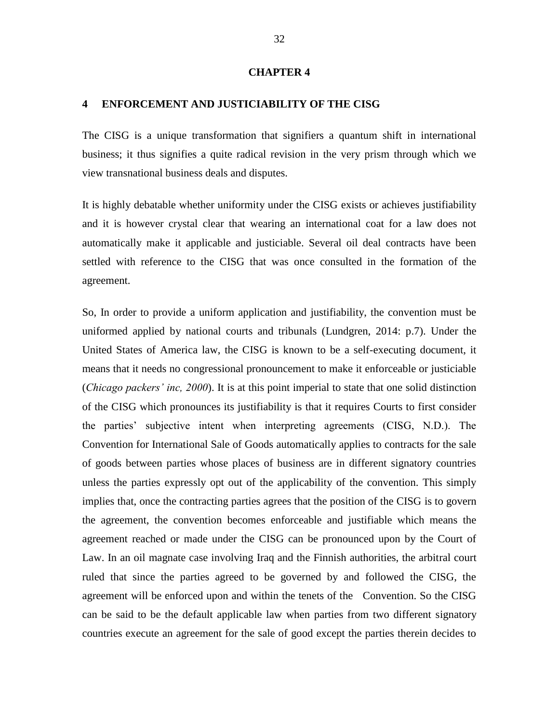#### **CHAPTER 4**

#### <span id="page-41-0"></span>**4 ENFORCEMENT AND JUSTICIABILITY OF THE CISG**

The CISG is a unique transformation that signifiers a quantum shift in international business; it thus signifies a quite radical revision in the very prism through which we view transnational business deals and disputes.

It is highly debatable whether uniformity under the CISG exists or achieves justifiability and it is however crystal clear that wearing an international coat for a law does not automatically make it applicable and justiciable. Several oil deal contracts have been settled with reference to the CISG that was once consulted in the formation of the agreement.

So, In order to provide a uniform application and justifiability, the convention must be uniformed applied by national courts and tribunals (Lundgren, 2014: p.7). Under the United States of America law, the CISG is known to be a self-executing document, it means that it needs no congressional pronouncement to make it enforceable or justiciable (*Chicago packers' inc, 2000*). It is at this point imperial to state that one solid distinction of the CISG which pronounces its justifiability is that it requires Courts to first consider the parties' subjective intent when interpreting agreements (CISG, N.D.). The Convention for International Sale of Goods automatically applies to contracts for the sale of goods between parties whose places of business are in different signatory countries unless the parties expressly opt out of the applicability of the convention. This simply implies that, once the contracting parties agrees that the position of the CISG is to govern the agreement, the convention becomes enforceable and justifiable which means the agreement reached or made under the CISG can be pronounced upon by the Court of Law. In an oil magnate case involving Iraq and the Finnish authorities, the arbitral court ruled that since the parties agreed to be governed by and followed the CISG, the agreement will be enforced upon and within the tenets of the Convention. So the CISG can be said to be the default applicable law when parties from two different signatory countries execute an agreement for the sale of good except the parties therein decides to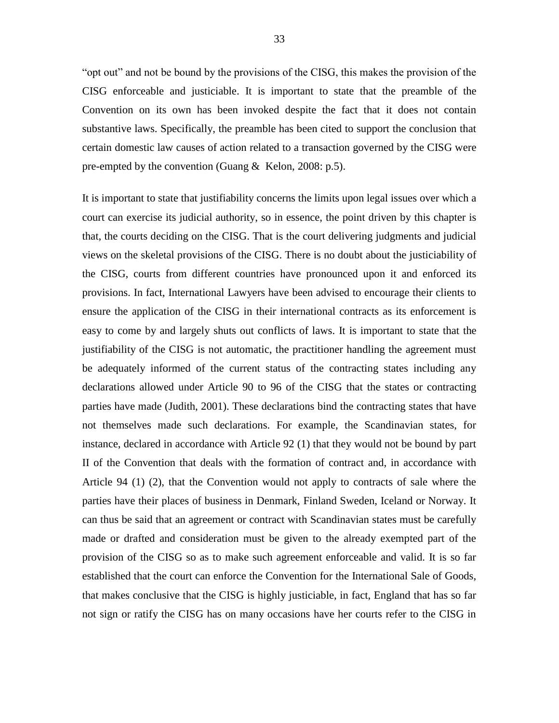"opt out" and not be bound by the provisions of the CISG, this makes the provision of the CISG enforceable and justiciable. It is important to state that the preamble of the Convention on its own has been invoked despite the fact that it does not contain substantive laws. Specifically, the preamble has been cited to support the conclusion that certain domestic law causes of action related to a transaction governed by the CISG were pre-empted by the convention (Guang & Kelon, 2008: p.5).

It is important to state that justifiability concerns the limits upon legal issues over which a court can exercise its judicial authority, so in essence, the point driven by this chapter is that, the courts deciding on the CISG. That is the court delivering judgments and judicial views on the skeletal provisions of the CISG. There is no doubt about the justiciability of the CISG, courts from different countries have pronounced upon it and enforced its provisions. In fact, International Lawyers have been advised to encourage their clients to ensure the application of the CISG in their international contracts as its enforcement is easy to come by and largely shuts out conflicts of laws. It is important to state that the justifiability of the CISG is not automatic, the practitioner handling the agreement must be adequately informed of the current status of the contracting states including any declarations allowed under Article 90 to 96 of the CISG that the states or contracting parties have made (Judith, 2001). These declarations bind the contracting states that have not themselves made such declarations. For example, the Scandinavian states, for instance, declared in accordance with Article 92 (1) that they would not be bound by part II of the Convention that deals with the formation of contract and, in accordance with Article 94 (1) (2), that the Convention would not apply to contracts of sale where the parties have their places of business in Denmark, Finland Sweden, Iceland or Norway. It can thus be said that an agreement or contract with Scandinavian states must be carefully made or drafted and consideration must be given to the already exempted part of the provision of the CISG so as to make such agreement enforceable and valid. It is so far established that the court can enforce the Convention for the International Sale of Goods, that makes conclusive that the CISG is highly justiciable, in fact, England that has so far not sign or ratify the CISG has on many occasions have her courts refer to the CISG in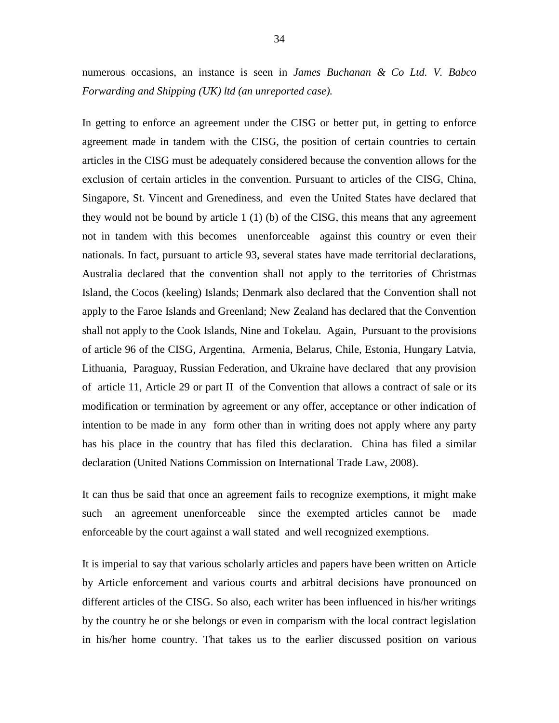numerous occasions, an instance is seen in *James Buchanan & Co Ltd. V. Babco Forwarding and Shipping (UK) ltd (an unreported case).*

In getting to enforce an agreement under the CISG or better put, in getting to enforce agreement made in tandem with the CISG, the position of certain countries to certain articles in the CISG must be adequately considered because the convention allows for the exclusion of certain articles in the convention. Pursuant to articles of the CISG, China, Singapore, St. Vincent and Grenediness, and even the United States have declared that they would not be bound by article 1 (1) (b) of the CISG, this means that any agreement not in tandem with this becomes unenforceable against this country or even their nationals. In fact, pursuant to article 93, several states have made territorial declarations, Australia declared that the convention shall not apply to the territories of Christmas Island, the Cocos (keeling) Islands; Denmark also declared that the Convention shall not apply to the Faroe Islands and Greenland; New Zealand has declared that the Convention shall not apply to the Cook Islands, Nine and Tokelau. Again, Pursuant to the provisions of article 96 of the CISG, Argentina, Armenia, Belarus, Chile, Estonia, Hungary Latvia, Lithuania, Paraguay, Russian Federation, and Ukraine have declared that any provision of article 11, Article 29 or part II of the Convention that allows a contract of sale or its modification or termination by agreement or any offer, acceptance or other indication of intention to be made in any form other than in writing does not apply where any party has his place in the country that has filed this declaration. China has filed a similar declaration (United Nations Commission on International Trade Law, 2008).

It can thus be said that once an agreement fails to recognize exemptions, it might make such an agreement unenforceable since the exempted articles cannot be made enforceable by the court against a wall stated and well recognized exemptions.

It is imperial to say that various scholarly articles and papers have been written on Article by Article enforcement and various courts and arbitral decisions have pronounced on different articles of the CISG. So also, each writer has been influenced in his/her writings by the country he or she belongs or even in comparism with the local contract legislation in his/her home country. That takes us to the earlier discussed position on various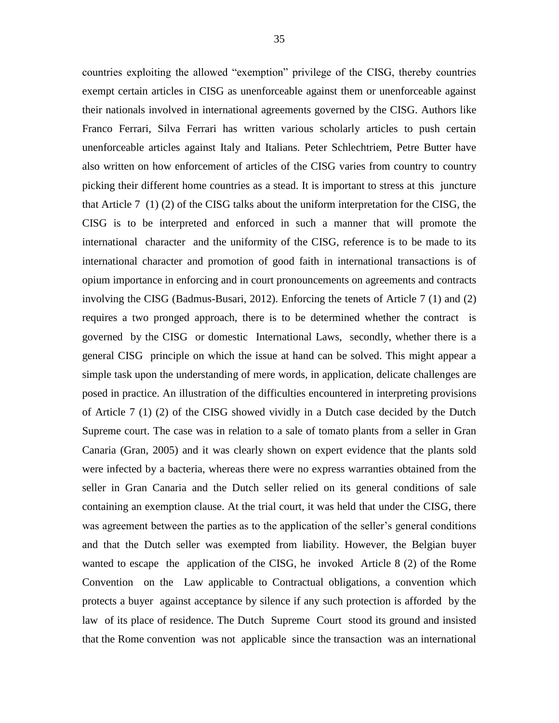countries exploiting the allowed "exemption" privilege of the CISG, thereby countries exempt certain articles in CISG as unenforceable against them or unenforceable against their nationals involved in international agreements governed by the CISG. Authors like Franco Ferrari, Silva Ferrari has written various scholarly articles to push certain unenforceable articles against Italy and Italians. Peter Schlechtriem, Petre Butter have also written on how enforcement of articles of the CISG varies from country to country picking their different home countries as a stead. It is important to stress at this juncture that Article 7 (1) (2) of the CISG talks about the uniform interpretation for the CISG, the CISG is to be interpreted and enforced in such a manner that will promote the international character and the uniformity of the CISG, reference is to be made to its international character and promotion of good faith in international transactions is of opium importance in enforcing and in court pronouncements on agreements and contracts involving the CISG (Badmus-Busari, 2012). Enforcing the tenets of Article 7 (1) and (2) requires a two pronged approach, there is to be determined whether the contract is governed by the CISG or domestic International Laws, secondly, whether there is a general CISG principle on which the issue at hand can be solved. This might appear a simple task upon the understanding of mere words, in application, delicate challenges are posed in practice. An illustration of the difficulties encountered in interpreting provisions of Article 7 (1) (2) of the CISG showed vividly in a Dutch case decided by the Dutch Supreme court. The case was in relation to a sale of tomato plants from a seller in Gran Canaria (Gran, 2005) and it was clearly shown on expert evidence that the plants sold were infected by a bacteria, whereas there were no express warranties obtained from the seller in Gran Canaria and the Dutch seller relied on its general conditions of sale containing an exemption clause. At the trial court, it was held that under the CISG, there was agreement between the parties as to the application of the seller's general conditions and that the Dutch seller was exempted from liability. However, the Belgian buyer wanted to escape the application of the CISG, he invoked Article 8 (2) of the Rome Convention on the Law applicable to Contractual obligations, a convention which protects a buyer against acceptance by silence if any such protection is afforded by the law of its place of residence. The Dutch Supreme Court stood its ground and insisted that the Rome convention was not applicable since the transaction was an international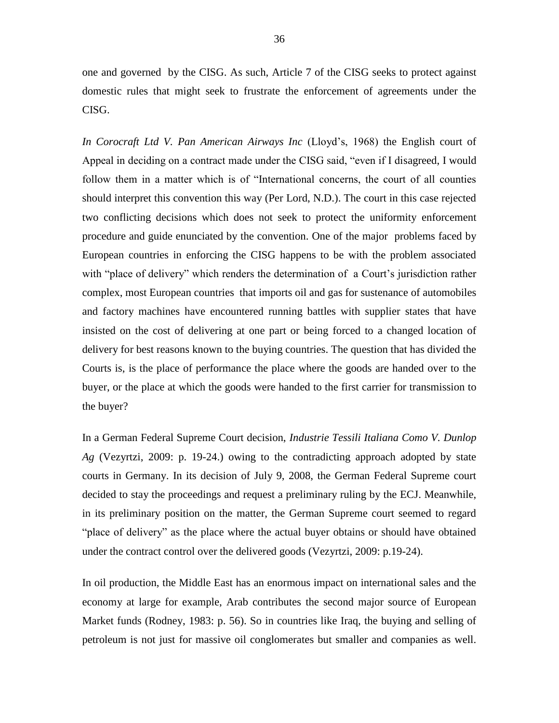one and governed by the CISG. As such, Article 7 of the CISG seeks to protect against domestic rules that might seek to frustrate the enforcement of agreements under the CISG.

*In Corocraft Ltd V. Pan American Airways Inc* (Lloyd's, 1968) the English court of Appeal in deciding on a contract made under the CISG said, "even if I disagreed, I would follow them in a matter which is of "International concerns, the court of all counties should interpret this convention this way (Per Lord, N.D.). The court in this case rejected two conflicting decisions which does not seek to protect the uniformity enforcement procedure and guide enunciated by the convention. One of the major problems faced by European countries in enforcing the CISG happens to be with the problem associated with "place of delivery" which renders the determination of a Court's jurisdiction rather complex, most European countries that imports oil and gas for sustenance of automobiles and factory machines have encountered running battles with supplier states that have insisted on the cost of delivering at one part or being forced to a changed location of delivery for best reasons known to the buying countries. The question that has divided the Courts is, is the place of performance the place where the goods are handed over to the buyer, or the place at which the goods were handed to the first carrier for transmission to the buyer?

In a German Federal Supreme Court decision, *Industrie Tessili Italiana Como V. Dunlop Ag* (Vezyrtzi, 2009: p. 19-24.) owing to the contradicting approach adopted by state courts in Germany. In its decision of July 9, 2008, the German Federal Supreme court decided to stay the proceedings and request a preliminary ruling by the ECJ. Meanwhile, in its preliminary position on the matter, the German Supreme court seemed to regard "place of delivery" as the place where the actual buyer obtains or should have obtained under the contract control over the delivered goods (Vezyrtzi, 2009: p.19-24).

In oil production, the Middle East has an enormous impact on international sales and the economy at large for example, Arab contributes the second major source of European Market funds (Rodney, 1983: p. 56). So in countries like Iraq, the buying and selling of petroleum is not just for massive oil conglomerates but smaller and companies as well.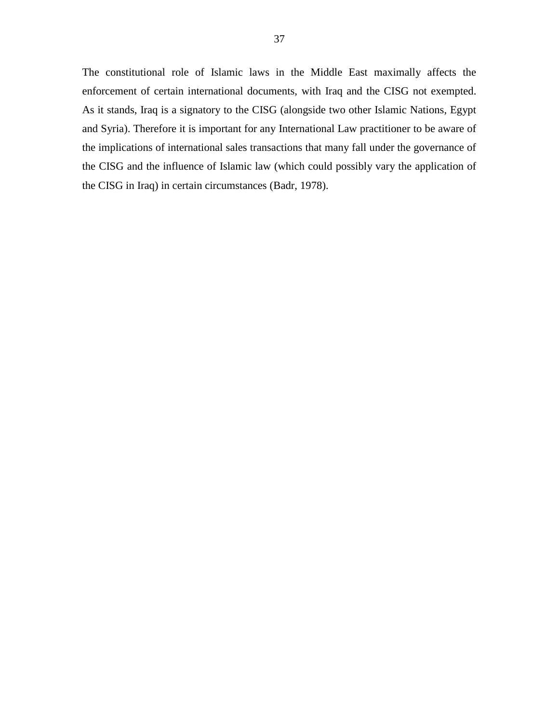The constitutional role of Islamic laws in the Middle East maximally affects the enforcement of certain international documents, with Iraq and the CISG not exempted. As it stands, Iraq is a signatory to the CISG (alongside two other Islamic Nations, Egypt and Syria). Therefore it is important for any International Law practitioner to be aware of the implications of international sales transactions that many fall under the governance of the CISG and the influence of Islamic law (which could possibly vary the application of the CISG in Iraq) in certain circumstances (Badr, 1978).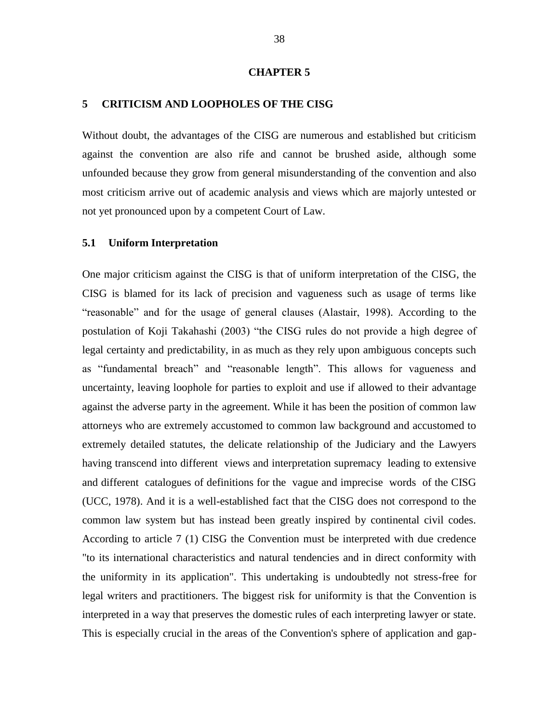#### **CHAPTER 5**

#### <span id="page-47-0"></span>**5 CRITICISM AND LOOPHOLES OF THE CISG**

Without doubt, the advantages of the CISG are numerous and established but criticism against the convention are also rife and cannot be brushed aside, although some unfounded because they grow from general misunderstanding of the convention and also most criticism arrive out of academic analysis and views which are majorly untested or not yet pronounced upon by a competent Court of Law.

#### <span id="page-47-1"></span>**5.1 Uniform Interpretation**

One major criticism against the CISG is that of uniform interpretation of the CISG, the CISG is blamed for its lack of precision and vagueness such as usage of terms like ―reasonable‖ and for the usage of general clauses (Alastair, 1998). According to the postulation of Koji Takahashi (2003) "the CISG rules do not provide a high degree of legal certainty and predictability, in as much as they rely upon ambiguous concepts such as "fundamental breach" and "reasonable length". This allows for vagueness and uncertainty, leaving loophole for parties to exploit and use if allowed to their advantage against the adverse party in the agreement. While it has been the position of common law attorneys who are extremely accustomed to common law background and accustomed to extremely detailed statutes, the delicate relationship of the Judiciary and the Lawyers having transcend into different views and interpretation supremacy leading to extensive and different catalogues of definitions for the vague and imprecise words of the CISG (UCC, 1978). And it is a well-established fact that the CISG does not correspond to the common law system but has instead been greatly inspired by continental civil codes. According to article 7 (1) CISG the Convention must be interpreted with due credence "to its international characteristics and natural tendencies and in direct conformity with the uniformity in its application". This undertaking is undoubtedly not stress-free for legal writers and practitioners. The biggest risk for uniformity is that the Convention is interpreted in a way that preserves the domestic rules of each interpreting lawyer or state. This is especially crucial in the areas of the Convention's sphere of application and gap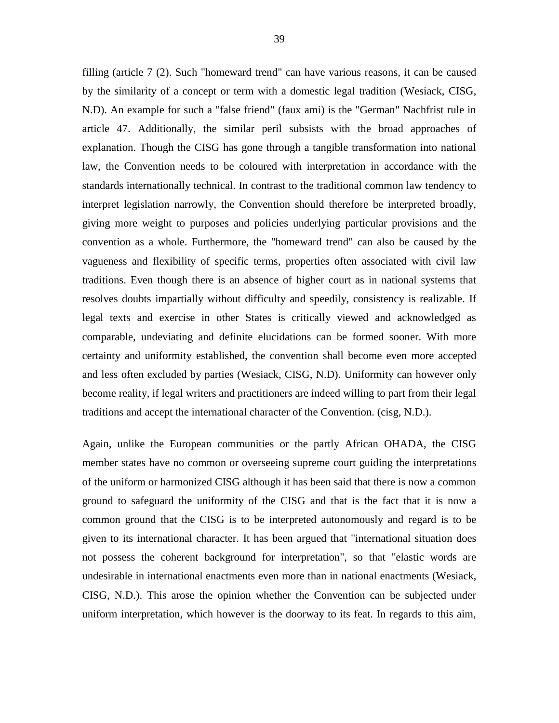filling (article 7 (2). Such "homeward trend" can have various reasons, it can be caused by the similarity of a concept or term with a domestic legal tradition (Wesiack, CISG, N.D). An example for such a "false friend" (faux ami) is the "German" Nachfrist rule in article 47. Additionally, the similar peril subsists with the broad approaches of explanation. Though the CISG has gone through a tangible transformation into national law, the Convention needs to be coloured with interpretation in accordance with the standards internationally technical. In contrast to the traditional common law tendency to interpret legislation narrowly, the Convention should therefore be interpreted broadly, giving more weight to purposes and policies underlying particular provisions and the convention as a whole. Furthermore, the "homeward trend" can also be caused by the vagueness and flexibility of specific terms, properties often associated with civil law traditions. Even though there is an absence of higher court as in national systems that resolves doubts impartially without difficulty and speedily, consistency is realizable. If legal texts and exercise in other States is critically viewed and acknowledged as comparable, undeviating and definite elucidations can be formed sooner. With more certainty and uniformity established, the convention shall become even more accepted and less often excluded by parties (Wesiack, CISG, N.D). Uniformity can however only become reality, if legal writers and practitioners are indeed willing to part from their legal traditions and accept the international character of the Convention. [\(cisg, N.D.](http://www.cisg.law.pace.edu/cisg/countries/cntries.html)).

Again, unlike the European communities or the partly African OHADA, the CISG member states have no common or overseeing supreme court guiding the interpretations of the uniform or harmonized CISG although it has been said that there is now a common ground to safeguard the uniformity of the CISG and that is the fact that it is now a common ground that the CISG is to be interpreted autonomously and regard is to be given to its international character. It has been argued that "international situation does not possess the coherent background for interpretation", so that "elastic words are undesirable in international enactments even more than in national enactments (Wesiack, CISG, N.D.). This arose the opinion whether the Convention can be subjected under uniform interpretation, which however is the doorway to its feat. In regards to this aim,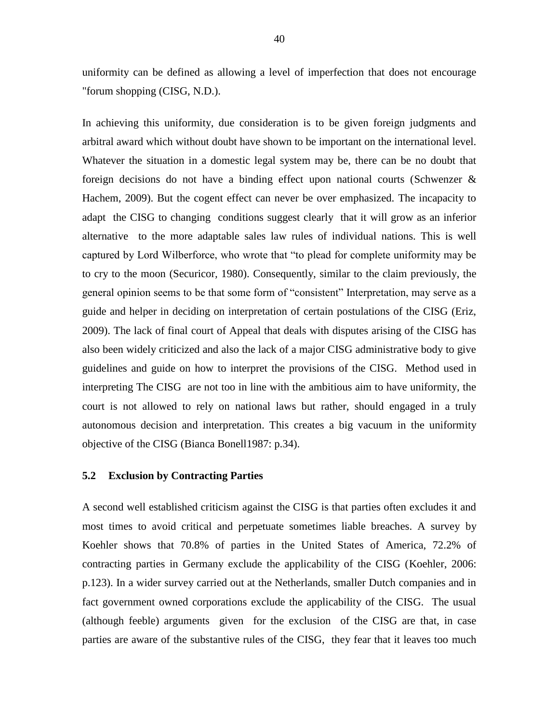uniformity can be defined as allowing a level of imperfection that does not encourage "forum shopping (CISG, N.D.).

In achieving this uniformity, due consideration is to be given foreign judgments and arbitral award which without doubt have shown to be important on the international level. Whatever the situation in a domestic legal system may be, there can be no doubt that foreign decisions do not have a binding effect upon national courts (Schwenzer & Hachem, 2009). But the cogent effect can never be over emphasized. The incapacity to adapt the CISG to changing conditions suggest clearly that it will grow as an inferior alternative to the more adaptable sales law rules of individual nations. This is well captured by Lord Wilberforce, who wrote that "to plead for complete uniformity may be to cry to the moon (Securicor*,* 1980). Consequently, similar to the claim previously, the general opinion seems to be that some form of "consistent" Interpretation, may serve as a guide and helper in deciding on interpretation of certain postulations of the CISG (Eriz, 2009). The lack of final court of Appeal that deals with disputes arising of the CISG has also been widely criticized and also the lack of a major CISG administrative body to give guidelines and guide on how to interpret the provisions of the CISG. Method used in interpreting The CISG are not too in line with the ambitious aim to have uniformity, the court is not allowed to rely on national laws but rather, should engaged in a truly autonomous decision and interpretation. This creates a big vacuum in the uniformity objective of the CISG (Bianca Bonell1987: p.34).

#### <span id="page-49-0"></span>**5.2 Exclusion by Contracting Parties**

A second well established criticism against the CISG is that parties often excludes it and most times to avoid critical and perpetuate sometimes liable breaches. A survey by Koehler shows that 70.8% of parties in the United States of America, 72.2% of contracting parties in Germany exclude the applicability of the CISG (Koehler, 2006: p.123). In a wider survey carried out at the Netherlands, smaller Dutch companies and in fact government owned corporations exclude the applicability of the CISG. The usual (although feeble) arguments given for the exclusion of the CISG are that, in case parties are aware of the substantive rules of the CISG, they fear that it leaves too much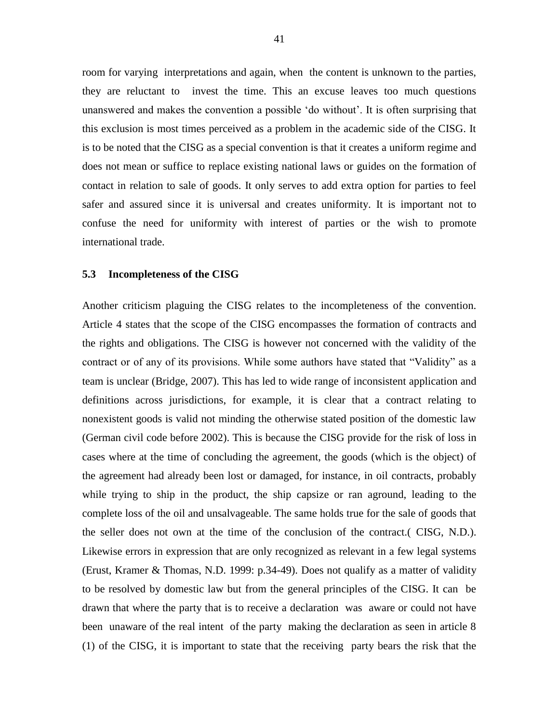room for varying interpretations and again, when the content is unknown to the parties, they are reluctant to invest the time. This an excuse leaves too much questions unanswered and makes the convention a possible ‗do without'. It is often surprising that this exclusion is most times perceived as a problem in the academic side of the CISG. It is to be noted that the CISG as a special convention is that it creates a uniform regime and does not mean or suffice to replace existing national laws or guides on the formation of contact in relation to sale of goods. It only serves to add extra option for parties to feel safer and assured since it is universal and creates uniformity. It is important not to confuse the need for uniformity with interest of parties or the wish to promote international trade.

#### <span id="page-50-0"></span>**5.3 Incompleteness of the CISG**

Another criticism plaguing the CISG relates to the incompleteness of the convention. Article 4 states that the scope of the CISG encompasses the formation of contracts and the rights and obligations. The CISG is however not concerned with the validity of the contract or of any of its provisions. While some authors have stated that "Validity" as a team is unclear (Bridge, 2007). This has led to wide range of inconsistent application and definitions across jurisdictions, for example, it is clear that a contract relating to nonexistent goods is valid not minding the otherwise stated position of the domestic law (German civil code before 2002). This is because the CISG provide for the risk of loss in cases where at the time of concluding the agreement, the goods (which is the object) of the agreement had already been lost or damaged, for instance, in oil contracts, probably while trying to ship in the product, the ship capsize or ran aground, leading to the complete loss of the oil and unsalvageable. The same holds true for the sale of goods that the seller does not own at the time of the conclusion of the contract.( CISG, N.D.). Likewise errors in expression that are only recognized as relevant in a few legal systems (Erust, Kramer & Thomas, N.D. 1999: p.34-49). Does not qualify as a matter of validity to be resolved by domestic law but from the general principles of the CISG. It can be drawn that where the party that is to receive a declaration was aware or could not have been unaware of the real intent of the party making the declaration as seen in article 8 (1) of the CISG, it is important to state that the receiving party bears the risk that the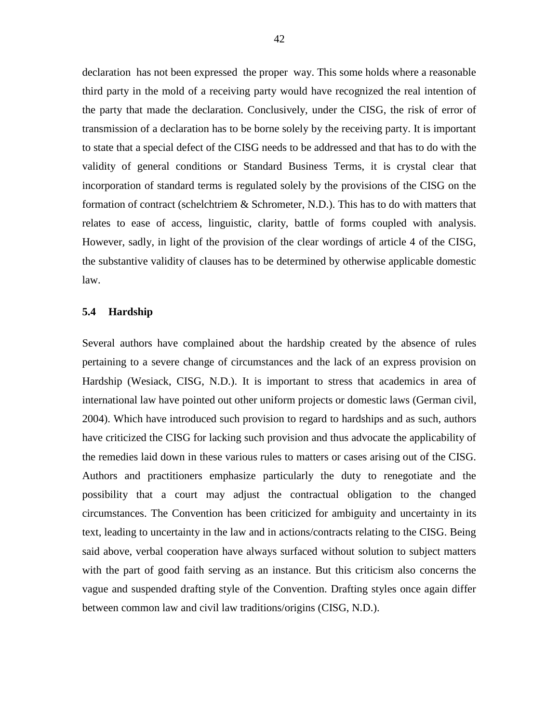declaration has not been expressed the proper way. This some holds where a reasonable third party in the mold of a receiving party would have recognized the real intention of the party that made the declaration. Conclusively, under the CISG, the risk of error of transmission of a declaration has to be borne solely by the receiving party. It is important to state that a special defect of the CISG needs to be addressed and that has to do with the validity of general conditions or Standard Business Terms, it is crystal clear that incorporation of standard terms is regulated solely by the provisions of the CISG on the formation of contract (schelchtriem & Schrometer, N.D.). This has to do with matters that relates to ease of access, linguistic, clarity, battle of forms coupled with analysis. However, sadly, in light of the provision of the clear wordings of article 4 of the CISG, the substantive validity of clauses has to be determined by otherwise applicable domestic law.

#### <span id="page-51-0"></span>**5.4 Hardship**

Several authors have complained about the hardship created by the absence of rules pertaining to a severe change of circumstances and the lack of an express provision on Hardship (Wesiack, CISG, N.D.). It is important to stress that academics in area of international law have pointed out other uniform projects or domestic laws (German civil, 2004). Which have introduced such provision to regard to hardships and as such, authors have criticized the CISG for lacking such provision and thus advocate the applicability of the remedies laid down in these various rules to matters or cases arising out of the CISG. Authors and practitioners emphasize particularly the duty to renegotiate and the possibility that a court may adjust the contractual obligation to the changed circumstances. The Convention has been criticized for ambiguity and uncertainty in its text, leading to uncertainty in the law and in actions/contracts relating to the CISG. Being said above, verbal cooperation have always surfaced without solution to subject matters with the part of good faith serving as an instance. But this criticism also concerns the vague and suspended drafting style of the Convention. Drafting styles once again differ between common law and civil law traditions/origins (CISG, N.D.).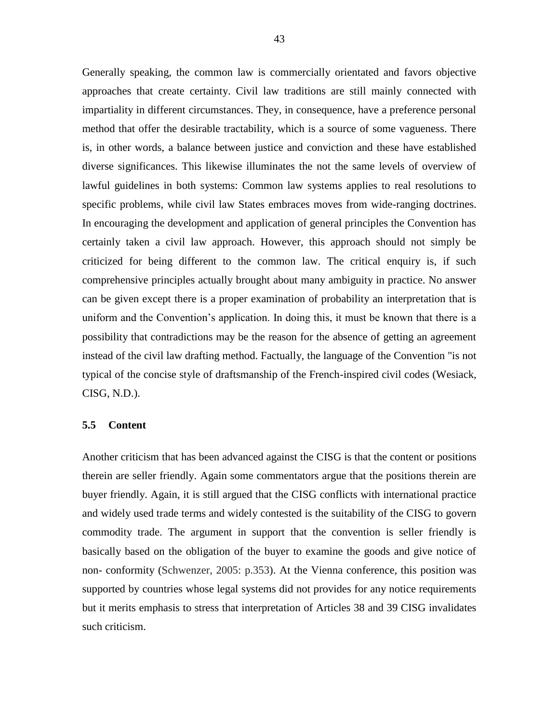Generally speaking, the common law is commercially orientated and favors objective approaches that create certainty. Civil law traditions are still mainly connected with impartiality in different circumstances. They, in consequence, have a preference personal method that offer the desirable tractability, which is a source of some vagueness. There is, in other words, a balance between justice and conviction and these have established diverse significances. This likewise illuminates the not the same levels of overview of lawful guidelines in both systems: Common law systems applies to real resolutions to specific problems, while civil law States embraces moves from wide-ranging doctrines. In encouraging the development and application of general principles the Convention has certainly taken a civil law approach. However, this approach should not simply be criticized for being different to the common law. The critical enquiry is, if such comprehensive principles actually brought about many ambiguity in practice. No answer can be given except there is a proper examination of probability an interpretation that is uniform and the Convention's application. In doing this, it must be known that there is a possibility that contradictions may be the reason for the absence of getting an agreement instead of the civil law drafting method. Factually, the language of the Convention "is not typical of the concise style of draftsmanship of the French-inspired civil codes (Wesiack, CISG, N.D.).

#### <span id="page-52-0"></span>**5.5 Content**

Another criticism that has been advanced against the CISG is that the content or positions therein are seller friendly. Again some commentators argue that the positions therein are buyer friendly. Again, it is still argued that the CISG conflicts with international practice and widely used trade terms and widely contested is the suitability of the CISG to govern commodity trade. The argument in support that the convention is seller friendly is basically based on the obligation of the buyer to examine the goods and give notice of non- conformity (Schwenzer, 2005: p.353). At the Vienna conference, this position was supported by countries whose legal systems did not provides for any notice requirements but it merits emphasis to stress that interpretation of Articles 38 and 39 CISG invalidates such criticism.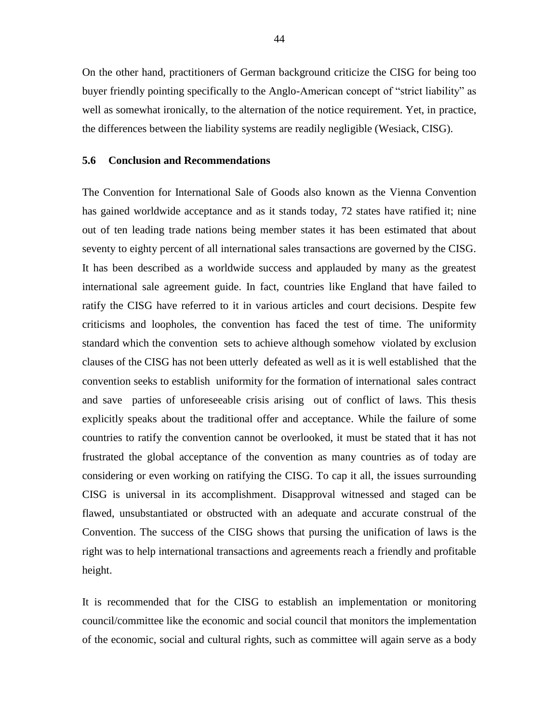On the other hand, practitioners of German background criticize the CISG for being too buyer friendly pointing specifically to the Anglo-American concept of "strict liability" as well as somewhat ironically, to the alternation of the notice requirement. Yet, in practice, the differences between the liability systems are readily negligible (Wesiack, CISG).

# <span id="page-53-0"></span>**5.6 Conclusion and Recommendations**

The Convention for International Sale of Goods also known as the Vienna Convention has gained worldwide acceptance and as it stands today, 72 states have ratified it; nine out of ten leading trade nations being member states it has been estimated that about seventy to eighty percent of all international sales transactions are governed by the CISG. It has been described as a worldwide success and applauded by many as the greatest international sale agreement guide. In fact, countries like England that have failed to ratify the CISG have referred to it in various articles and court decisions. Despite few criticisms and loopholes, the convention has faced the test of time. The uniformity standard which the convention sets to achieve although somehow violated by exclusion clauses of the CISG has not been utterly defeated as well as it is well established that the convention seeks to establish uniformity for the formation of international sales contract and save parties of unforeseeable crisis arising out of conflict of laws. This thesis explicitly speaks about the traditional offer and acceptance. While the failure of some countries to ratify the convention cannot be overlooked, it must be stated that it has not frustrated the global acceptance of the convention as many countries as of today are considering or even working on ratifying the CISG. To cap it all, the issues surrounding CISG is universal in its accomplishment. Disapproval witnessed and staged can be flawed, unsubstantiated or obstructed with an adequate and accurate construal of the Convention. The success of the CISG shows that pursing the unification of laws is the right was to help international transactions and agreements reach a friendly and profitable height.

It is recommended that for the CISG to establish an implementation or monitoring council/committee like the economic and social council that monitors the implementation of the economic, social and cultural rights, such as committee will again serve as a body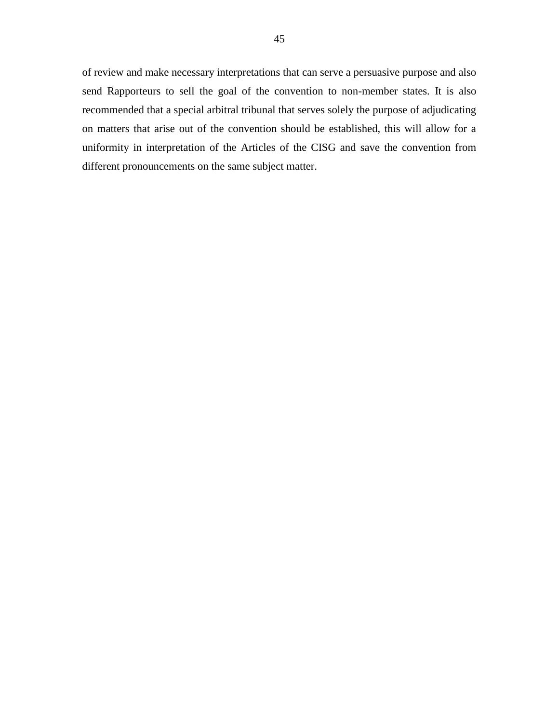of review and make necessary interpretations that can serve a persuasive purpose and also send Rapporteurs to sell the goal of the convention to non-member states. It is also recommended that a special arbitral tribunal that serves solely the purpose of adjudicating on matters that arise out of the convention should be established, this will allow for a uniformity in interpretation of the Articles of the CISG and save the convention from different pronouncements on the same subject matter.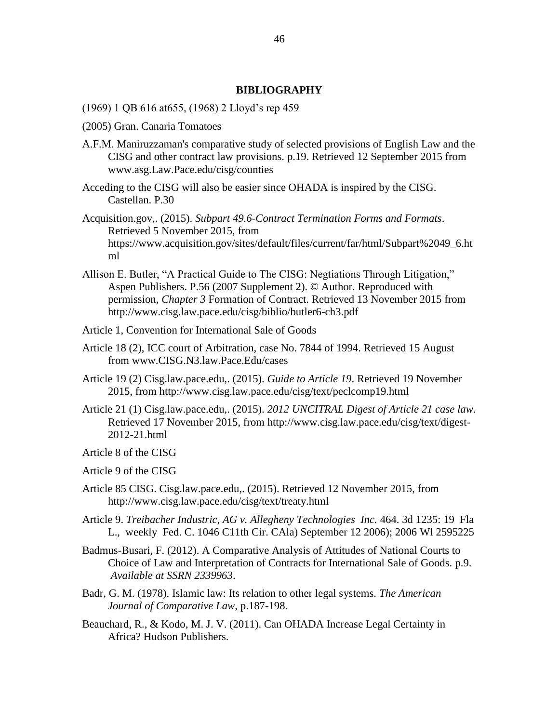# **BIBLIOGRAPHY**

- (1969) 1 QB 616 at655, (1968) 2 Lloyd's rep 459
- (2005) Gran. Canaria Tomatoes
- A.F.M. Maniruzzaman's comparative study of selected provisions of English Law and the CISG and other contract law provisions. p.19. Retrieved 12 September 2015 from www.asg.Law.Pace.edu/cisg/counties
- Acceding to the CISG will also be easier since OHADA is inspired by the CISG. Castellan. P.30
- Acquisition.gov,. (2015). *Subpart 49.6-Contract Termination Forms and Formats*. Retrieved 5 November 2015, from https://www.acquisition.gov/sites/default/files/current/far/html/Subpart%2049\_6.ht ml
- Allison E. Butler, "A Practical Guide to The CISG: Negtiations Through Litigation," Aspen Publishers. P.56 (2007 Supplement 2). © Author. Reproduced with permission, *Chapter 3* Formation of Contract. Retrieved 13 November 2015 from http://www.cisg.law.pace.edu/cisg/biblio/butler6-ch3.pdf
- Article 1, Convention for International Sale of Goods
- Article 18 (2), ICC court of Arbitration, case No. 7844 of 1994. Retrieved 15 August from www.CISG.N3.law.Pace.Edu/cases
- Article 19 (2) Cisg.law.pace.edu,. (2015). *Guide to Article 19*. Retrieved 19 November 2015, from http://www.cisg.law.pace.edu/cisg/text/peclcomp19.html
- Article 21 (1) Cisg.law.pace.edu,. (2015). *2012 UNCITRAL Digest of Article 21 case law*. Retrieved 17 November 2015, from http://www.cisg.law.pace.edu/cisg/text/digest-2012-21.html
- Article 8 of the CISG
- Article 9 of the CISG
- Article 85 CISG. Cisg.law.pace.edu,. (2015). Retrieved 12 November 2015, from http://www.cisg.law.pace.edu/cisg/text/treaty.html
- Article 9. *Treibacher Industric, AG v. Allegheny Technologies Inc.* 464. 3d 1235: 19 Fla L., weekly Fed. C. 1046 C11th Cir. CAla) September 12 2006); 2006 Wl 2595225
- Badmus-Busari, F. (2012). A Comparative Analysis of Attitudes of National Courts to Choice of Law and Interpretation of Contracts for International Sale of Goods. p.9. *Available at SSRN 2339963*.
- Badr, G. M. (1978). Islamic law: Its relation to other legal systems. *The American Journal of Comparative Law*, p.187-198.
- Beauchard, R., & Kodo, M. J. V. (2011). Can OHADA Increase Legal Certainty in Africa? Hudson Publishers.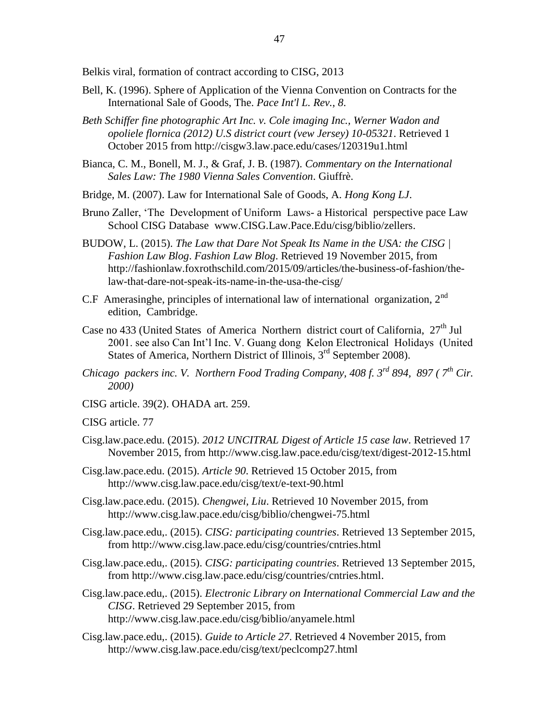Belkis viral, formation of contract according to CISG, 2013

- Bell, K. (1996). Sphere of Application of the Vienna Convention on Contracts for the International Sale of Goods, The. *Pace Int'l L. Rev.*, *8*.
- *Beth Schiffer fine photographic Art Inc. v. Cole imaging Inc., Werner Wadon and opoliele flornica (2012) U.S district court (vew Jersey) 10-05321*. Retrieved 1 October 2015 from http://cisgw3.law.pace.edu/cases/120319u1.html
- Bianca, C. M., Bonell, M. J., & Graf, J. B. (1987). *Commentary on the International Sales Law: The 1980 Vienna Sales Convention*. Giuffrè.
- Bridge, M. (2007). Law for International Sale of Goods, A. *Hong Kong LJ*.
- Bruno Zaller, 'The Development of Uniform Laws- a Historical perspective pace Law School CISG Database [www.CISG.Law.Pace.Edu/cisg/biblio/zellers.](http://www.cisg.law.pace.edu/cisg/biblio/zellers)
- BUDOW, L. (2015). *The Law that Dare Not Speak Its Name in the USA: the CISG | Fashion Law Blog*. *Fashion Law Blog*. Retrieved 19 November 2015, from http://fashionlaw.foxrothschild.com/2015/09/articles/the-business-of-fashion/thelaw-that-dare-not-speak-its-name-in-the-usa-the-cisg/
- C.F Amerasinghe, principles of international law of international organization,  $2<sup>nd</sup>$ edition, Cambridge.
- Case no 433 (United States of America Northern district court of California,  $27<sup>th</sup>$  Jul 2001. see also Can Int'l Inc. V. Guang dong Kelon Electronical Holidays (United States of America, Northern District of Illinois,  $3<sup>rd</sup>$  September 2008).
- *Chicago packers inc. V. Northern Food Trading Company, 408 f. 3rd 894, 897 ( 7th Cir. 2000)*
- CISG article. 39(2). OHADA art. 259.

CISG article. 77

- Cisg.law.pace.edu. (2015). *2012 UNCITRAL Digest of Article 15 case law*. Retrieved 17 November 2015, from http://www.cisg.law.pace.edu/cisg/text/digest-2012-15.html
- Cisg.law.pace.edu. (2015). *Article 90*. Retrieved 15 October 2015, from <http://www.cisg.law.pace.edu/cisg/text/e-text-90.html>
- Cisg.law.pace.edu. (2015). *Chengwei, Liu*. Retrieved 10 November 2015, from <http://www.cisg.law.pace.edu/cisg/biblio/chengwei-75.html>
- Cisg.law.pace.edu,. (2015). *CISG: participating countries*. Retrieved 13 September 2015, from http://www.cisg.law.pace.edu/cisg/countries/cntries.html
- Cisg.law.pace.edu,. (2015). *CISG: participating countries*. Retrieved 13 September 2015, from http://www.cisg.law.pace.edu/cisg/countries/cntries.html.
- Cisg.law.pace.edu,. (2015). *Electronic Library on International Commercial Law and the CISG*. Retrieved 29 September 2015, from <http://www.cisg.law.pace.edu/cisg/biblio/anyamele.html>
- Cisg.law.pace.edu,. (2015). *Guide to Article 27*. Retrieved 4 November 2015, from <http://www.cisg.law.pace.edu/cisg/text/peclcomp27.html>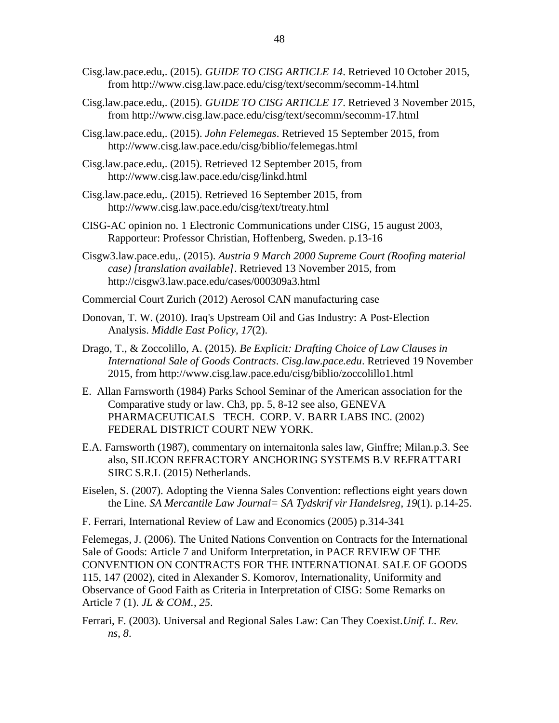- Cisg.law.pace.edu,. (2015). *GUIDE TO CISG ARTICLE 14*. Retrieved 10 October 2015, from http://www.cisg.law.pace.edu/cisg/text/secomm/secomm-14.html
- Cisg.law.pace.edu,. (2015). *GUIDE TO CISG ARTICLE 17*. Retrieved 3 November 2015, from<http://www.cisg.law.pace.edu/cisg/text/secomm/secomm-17.html>
- Cisg.law.pace.edu,. (2015). *John Felemegas*. Retrieved 15 September 2015, from http://www.cisg.law.pace.edu/cisg/biblio/felemegas.html
- Cisg.law.pace.edu,. (2015). Retrieved 12 September 2015, from http://www.cisg.law.pace.edu/cisg/linkd.html
- Cisg.law.pace.edu,. (2015). Retrieved 16 September 2015, from http://www.cisg.law.pace.edu/cisg/text/treaty.html
- CISG-AC opinion no. 1 Electronic Communications under CISG, 15 august 2003, Rapporteur: Professor Christian, Hoffenberg, Sweden. p.13-16
- Cisgw3.law.pace.edu,. (2015). *Austria 9 March 2000 Supreme Court (Roofing material case) [translation available]*. Retrieved 13 November 2015, from http://cisgw3.law.pace.edu/cases/000309a3.html
- Commercial Court Zurich (2012) Aerosol CAN manufacturing case
- Donovan, T. W. (2010). Iraq's Upstream Oil and Gas Industry: A Post‐Election Analysis. *Middle East Policy*, *17*(2).
- Drago, T., & Zoccolillo, A. (2015). *Be Explicit: Drafting Choice of Law Clauses in International Sale of Goods Contracts*. *Cisg.law.pace.edu*. Retrieved 19 November 2015, from http://www.cisg.law.pace.edu/cisg/biblio/zoccolillo1.html
- E. Allan Farnsworth (1984) Parks School Seminar of the American association for the Comparative study or law. Ch3, pp. 5, 8-12 see also, GENEVA PHARMACEUTICALS TECH. CORP. V. BARR LABS INC. (2002) FEDERAL DISTRICT COURT NEW YORK.
- E.A. Farnsworth (1987), commentary on internaitonla sales law, Ginffre; Milan.p.3. See also, SILICON REFRACTORY ANCHORING SYSTEMS B.V REFRATTARI SIRC S.R.L (2015) Netherlands.
- Eiselen, S. (2007). Adopting the Vienna Sales Convention: reflections eight years down the Line. *SA Mercantile Law Journal= SA Tydskrif vir Handelsreg*, *19*(1). p.14-25.
- F. Ferrari, International Review of Law and Economics (2005) p.314-341

Felemegas, J. (2006). The United Nations Convention on Contracts for the International Sale of Goods: Article 7 and Uniform Interpretation, in PACE REVIEW OF THE CONVENTION ON CONTRACTS FOR THE INTERNATIONAL SALE OF GOODS 115, 147 (2002), cited in Alexander S. Komorov, Internationality, Uniformity and Observance of Good Faith as Criteria in Interpretation of CISG: Some Remarks on Article 7 (1). *JL & COM.*, *25*.

Ferrari, F. (2003). Universal and Regional Sales Law: Can They Coexist.*Unif. L. Rev. ns*, *8*.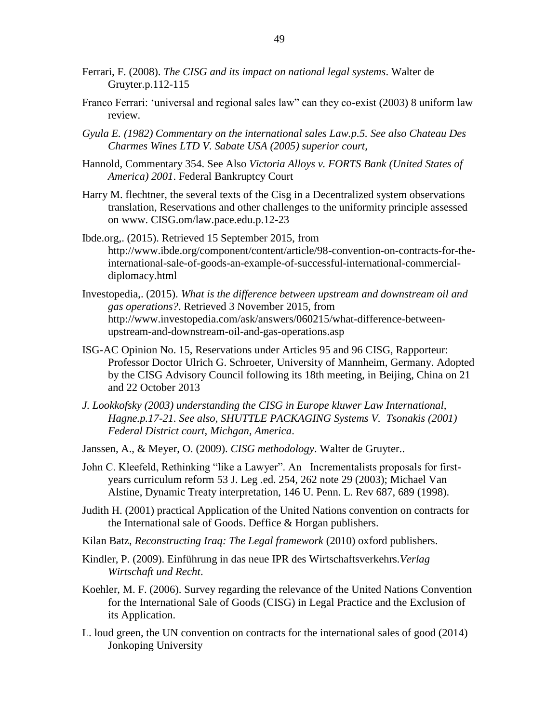- Ferrari, F. (2008). *The CISG and its impact on national legal systems*. Walter de Gruyter.p.112-115
- Franco Ferrari: 'universal and regional sales law" can they co-exist (2003) 8 uniform law review.
- *Gyula E. (1982) Commentary on the international sales Law.p.5. See also Chateau Des Charmes Wines LTD V. Sabate USA (2005) superior court,*
- Hannold, Commentary 354. See Also *Victoria Alloys v. FORTS Bank (United States of America) 2001*. Federal Bankruptcy Court
- Harry M. flechtner, the several texts of the Cisg in a Decentralized system observations translation, Reservations and other challenges to the uniformity principle assessed on www. CISG.om/law.pace.edu.p.12-23
- Ibde.org,. (2015). Retrieved 15 September 2015, from http://www.ibde.org/component/content/article/98-convention-on-contracts-for-theinternational-sale-of-goods-an-example-of-successful-international-commercialdiplomacy.html
- Investopedia,. (2015). *What is the difference between upstream and downstream oil and gas operations?*. Retrieved 3 November 2015, from http://www.investopedia.com/ask/answers/060215/what-difference-betweenupstream-and-downstream-oil-and-gas-operations.asp
- ISG-AC Opinion No. 15, Reservations under Articles 95 and 96 CISG, Rapporteur: Professor Doctor Ulrich G. Schroeter, University of Mannheim, Germany. Adopted by the CISG Advisory Council following its 18th meeting, in Beijing, China on 21 and 22 October 2013
- *J. Lookkofsky (2003) understanding the CISG in Europe kluwer Law International, Hagne.p.17-21. See also, SHUTTLE PACKAGING Systems V. Tsonakis (2001) Federal District court, Michgan, America*.
- Janssen, A., & Meyer, O. (2009). *CISG methodology*. Walter de Gruyter..
- John C. Kleefeld, Rethinking "like a Lawyer". An Incrementalists proposals for firstyears curriculum reform 53 J. Leg .ed. 254, 262 note 29 (2003); Michael Van Alstine, Dynamic Treaty interpretation, 146 U. Penn. L. Rev 687, 689 (1998).
- Judith H. (2001) practical Application of the United Nations convention on contracts for the International sale of Goods. Deffice & Horgan publishers.
- Kilan Batz, *Reconstructing Iraq: The Legal framework* (2010) oxford publishers.
- Kindler, P. (2009). Einführung in das neue IPR des Wirtschaftsverkehrs.*Verlag Wirtschaft und Recht*.
- Koehler, M. F. (2006). Survey regarding the relevance of the United Nations Convention for the International Sale of Goods (CISG) in Legal Practice and the Exclusion of its Application.
- L. loud green, the UN convention on contracts for the international sales of good (2014) Jonkoping University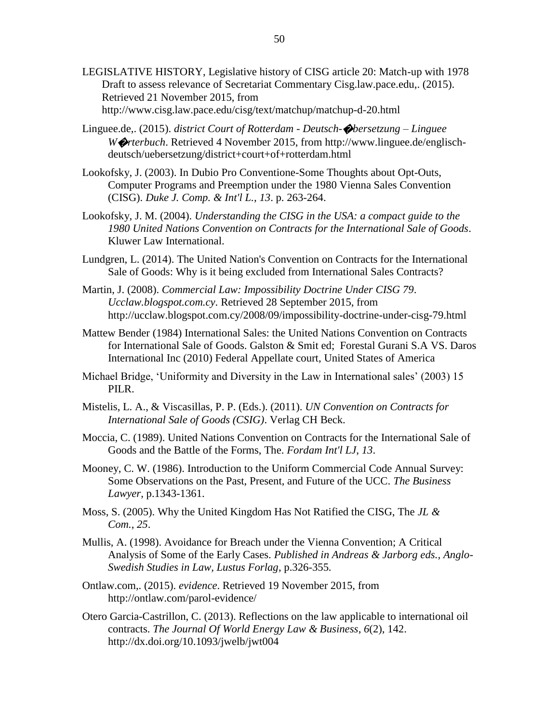- LEGISLATIVE HISTORY, Legislative history of CISG article 20: Match-up with 1978 Draft to assess relevance of Secretariat Commentary Cisg.law.pace.edu,. (2015). Retrieved 21 November 2015, from http://www.cisg.law.pace.edu/cisg/text/matchup/matchup-d-20.html
- Linguee.de,. (2015). *district Court of Rotterdam - Deutsch-*�*bersetzung – Linguee W*�*rterbuch*. Retrieved 4 November 2015, from http://www.linguee.de/englischdeutsch/uebersetzung/district+court+of+rotterdam.html
- Lookofsky, J. (2003). In Dubio Pro Conventione-Some Thoughts about Opt-Outs, Computer Programs and Preemption under the 1980 Vienna Sales Convention (CISG). *Duke J. Comp. & Int'l L.*, *13*. p. 263-264.
- Lookofsky, J. M. (2004). *Understanding the CISG in the USA: a compact guide to the 1980 United Nations Convention on Contracts for the International Sale of Goods*. Kluwer Law International.
- Lundgren, L. (2014). The United Nation's Convention on Contracts for the International Sale of Goods: Why is it being excluded from International Sales Contracts?
- Martin, J. (2008). *Commercial Law: Impossibility Doctrine Under CISG 79*. *Ucclaw.blogspot.com.cy*. Retrieved 28 September 2015, from http://ucclaw.blogspot.com.cy/2008/09/impossibility-doctrine-under-cisg-79.html
- Mattew Bender (1984) International Sales: the United Nations Convention on Contracts for International Sale of Goods. Galston & Smit ed; Forestal Gurani S.A VS. Daros International Inc (2010) Federal Appellate court, United States of America
- Michael Bridge, 'Uniformity and Diversity in the Law in International sales' (2003) 15 PILR.
- Mistelis, L. A., & Viscasillas, P. P. (Eds.). (2011). *UN Convention on Contracts for International Sale of Goods (CSIG)*. Verlag CH Beck.
- Moccia, C. (1989). United Nations Convention on Contracts for the International Sale of Goods and the Battle of the Forms, The. *Fordam Int'l LJ*, *13*.
- Mooney, C. W. (1986). Introduction to the Uniform Commercial Code Annual Survey: Some Observations on the Past, Present, and Future of the UCC. *The Business Lawyer*, p.1343-1361.
- Moss, S. (2005). Why the United Kingdom Has Not Ratified the CISG, The *JL & Com.*, *25*.
- Mullis, A. (1998). Avoidance for Breach under the Vienna Convention; A Critical Analysis of Some of the Early Cases. *Published in Andreas & Jarborg eds., Anglo-Swedish Studies in Law, Lustus Forlag*, p.326-355.
- Ontlaw.com,. (2015). *evidence*. Retrieved 19 November 2015, from http://ontlaw.com/parol-evidence/
- Otero Garcia-Castrillon, C. (2013). Reflections on the law applicable to international oil contracts. *The Journal Of World Energy Law & Business*, *6*(2), 142. http://dx.doi.org/10.1093/jwelb/jwt004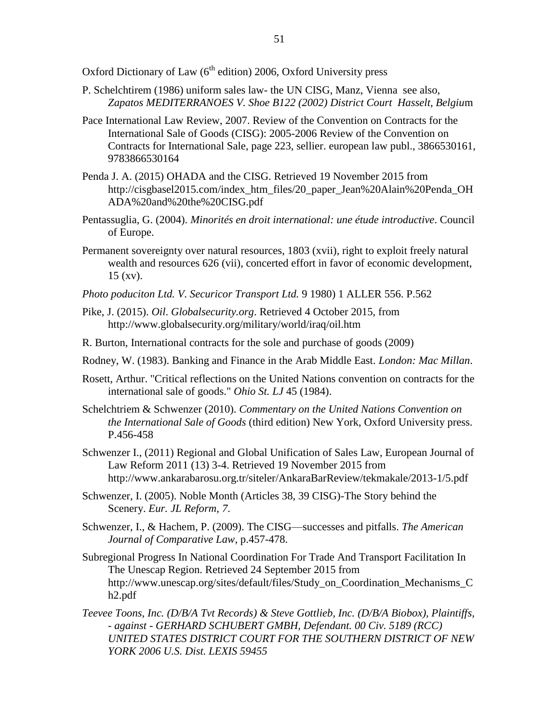Oxford Dictionary of Law  $(6<sup>th</sup>$  edition) 2006, Oxford University press

- P. Schelchtirem (1986) uniform sales law- the UN CISG, Manz, Vienna see also, *Zapatos MEDITERRANOES V. Shoe B122 (2002) District Court Hasselt, Belgiu*m
- [Pace International Law Review,](https://www.google.com.cy/search?tbo=p&tbm=bks&q=inauthor:%22Pace+International+Law+Review%22&source=gbs_metadata_r&cad=8) 2007. Review of the Convention on Contracts for the International Sale of Goods (CISG): 2005-2006 [Review of the Convention on](https://www.google.com.cy/search?tbo=p&tbm=bks&q=bibliogroup:%22Review+of+the+Convention+on+Contracts+for+International+Sale%22&source=gbs_metadata_r&cad=8)  [Contracts for International Sale,](https://www.google.com.cy/search?tbo=p&tbm=bks&q=bibliogroup:%22Review+of+the+Convention+on+Contracts+for+International+Sale%22&source=gbs_metadata_r&cad=8) page 223, sellier. european law publ., 3866530161, 9783866530164
- Penda J. A. (2015) OHADA and the CISG. Retrieved 19 November 2015 from http://cisgbasel2015.com/index\_htm\_files/20\_paper\_Jean%20Alain%20Penda\_OH ADA%20and%20the%20CISG.pdf
- Pentassuglia, G. (2004). *Minorités en droit international: une étude introductive*. Council of Europe.
- Permanent sovereignty over natural resources, 1803 (xvii), right to exploit freely natural wealth and resources 626 (vii), concerted effort in favor of economic development, 15 (xv).
- *Photo poduciton Ltd. V. Securicor Transport Ltd.* 9 1980) 1 ALLER 556. P.562
- Pike, J. (2015). *Oil*. *Globalsecurity.org*. Retrieved 4 October 2015, from http://www.globalsecurity.org/military/world/iraq/oil.htm
- R. Burton, International contracts for the sole and purchase of goods (2009)
- Rodney, W. (1983). Banking and Finance in the Arab Middle East. *London: Mac Millan*.
- Rosett, Arthur. "Critical reflections on the United Nations convention on contracts for the international sale of goods." *Ohio St. LJ* 45 (1984).
- Schelchtriem & Schwenzer (2010). *Commentary on the United Nations Convention on the International Sale of Goods* (third edition) New York, Oxford University press. P.456-458
- Schwenzer I., (2011) Regional and Global Unification of Sales Law, European Journal of Law Reform 2011 (13) 3-4. Retrieved 19 November 2015 from http://www.ankarabarosu.org.tr/siteler/AnkaraBarReview/tekmakale/2013-1/5.pdf
- Schwenzer, I. (2005). Noble Month (Articles 38, 39 CISG)-The Story behind the Scenery. *Eur. JL Reform*, *7*.
- Schwenzer, I., & Hachem, P. (2009). The CISG—successes and pitfalls. *The American Journal of Comparative Law*, p.457-478.
- Subregional Progress In National Coordination For Trade And Transport Facilitation In The Unescap Region. Retrieved 24 September 2015 from [http://www.unescap.org/sites/default/files/Study\\_on\\_Coordination\\_Mechanisms\\_C](http://www.unescap.org/sites/default/files/Study_on_Coordination_Mechanisms_Ch2.pdf) [h2.pdf](http://www.unescap.org/sites/default/files/Study_on_Coordination_Mechanisms_Ch2.pdf)
- *Teevee Toons, Inc. (D/B/A Tvt Records) & Steve Gottlieb, Inc. (D/B/A Biobox), Plaintiffs, - against - GERHARD SCHUBERT GMBH, Defendant. 00 Civ. 5189 (RCC) UNITED STATES DISTRICT COURT FOR THE SOUTHERN DISTRICT OF NEW YORK 2006 U.S. Dist. LEXIS 59455*